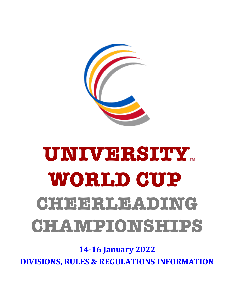

# **UNIVERSITY WORLD CUP** CHEERLEADING **CHAMPIONSHIPS**

**14-16 January 2022**

**DIVISIONS, RULES & REGULATIONS INFORMATION**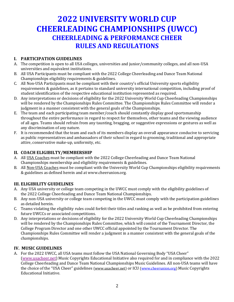# **2022 UNIVERSITY WORLD CUP CHEERLEADING CHAMPIONSHIPS (UWCC) CHEERLEADING & PERFORMANCE CHEER RULES AND REGULATIONS**

#### **I. PARTICIPATION GUIDELINES**

- A. The competition is open to all USA colleges, universities and junior/community colleges, and all non-USA universities and equivalent institutions.
- B. All USA Participants must be compliant with the 2022 College Cheerleading and Dance Team National Championships eligibility requirements & guidelines.
- C. All Non-USA Participants must be compliant with their country's official University sports eligibility requirements & guidelines, as it pertains to standard university international competition, including proof of student identification of the respective educational institution represented as required.
- D. Any interpretations or decisions of eligibility for the 2022 University World Cup Cheerleading Championships will be rendered by the Championships Rules Committee. The Championships Rules Committee will render a judgment in a manner consistent with the general goals of the Championships.
- E. The team and each participating team member/coach should constantly display good sportsmanship throughout the entire performance in regard to respect for themselves, other teams and the viewing audience of all ages. Teams should refrain from any taunting, bragging, or suggestive expressions or gestures as well as any discrimination of any nature.
- F. It is recommended that the team and each of its members display an overall appearance conducive to servicing as public representatives and ambassadors of their school in regard to grooming, traditional and appropriate attire, conservative make-up, uniformity, etc.

#### **II. COACH ELIGIBILTY/MEMBERSHIP**

- A. All USA Coaches must be compliant with the 2022 College Cheerleading and Dance Team National Championships membership and eligibility requirements & guidelines.
- B. All Non-USA Coaches must be compliant with the University World Cup Championships eligibility requirements & guidelines as defined herein and at www.cheerunion.org.

#### **III. ELIGIBILITY GUIDELINES**

- A. Any USA university or college team competing in the UWCC must comply with the eligibility guidelines of the 2022 College Cheerleading and Dance Team National Championships.
- B. Any non-USA university or college team competing in the UWCC must comply with the participation guidelines as detailed herein.
- C. Teams violating the eligibility rules could forfeit their titles and ranking as well as be prohibited from entering future UWCCs or associated competitions.
- D. Any interpretations or decisions of eligibility for the 2022 University World Cup Cheerleading Championships will be rendered by the Championships Rules Committee, which will consist of the Tournament Director, the College Program Director and one other UWCC official appointed by the Tournament Director. The Championships Rules Committee will render a judgment in a manner consistent with the general goals of the championships.

#### **IV. MUSIC GUIDELINES**

A. For the 2022 UWCC, all USA teams must follow the USA National Governing Body "USA Cheer" (www.usacheer.net) Music Copyrights Educational Initiative also required for and in compliance with the 2022 College Cheerleading and Dance Team National Championships Music Guidelines. All non-USA teams will have the choice of the "USA Cheer" guidelines (www.usacheer.net) or ICU (www.cheerunion.org) Music Copyrights Educational Initiative.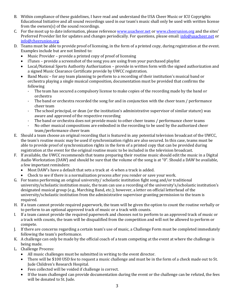- B. Within compliance of these guidelines, I have read and understand the USA Cheer Music or ICU Copyrights Educational Initiative and all sound recordings used in our team's music shall only be used with written license from the owners(s) of the sound recordings.
- C. For the most up to date information, please reference www.usacheer.net or www.cheerunion.org and the sites' Preferred Provider list for updates and changes periodically. For questions, please email: info@usacheer.net or info@cheerunion.org.
- D. Teams must be able to provide proof of licensing, in the form of a printed copy, during registration at the event. Examples include but are not limited to:
	- Music Provider provide a printed copy of proof of licensing
	- iTunes provide a screenshot of the song you are using from your purchased playlist
	- Local/National Sports Authority Authorization provide in written form with the signed authorization and a signed Music Clearance Certificate provide by UWCC registration.
	- Band Music for any team planning to perform to a recording of their institution's musical band or orchestra playing a single musical composition, documentation must be provided that confirms the following
		- The team has secured a compulsory license to make copies of the recording made by the band or orchestra
		- The band or orchestra recorded the song for and in conjunction with the cheer team / performance cheer team
		- The school principal, or dean (or the institution's administrative supervisor of similar stature) was aware and approved of the respective recording
		- The band or orchestra does not provide music to other cheer teams / performance cheer teams
		- No other musical compositions are embodied in the recording to be used by the authorized cheer team/performance cheer team
- E. Should a team choose an original recording that is featured in any potential television broadcast of the UWCC, the team's routine music may be used if synchronization rights are also secured. In this case, teams must be able to provide proof of synchronization rights in the form of a printed copy that can be provided during registration at the event for the original routine music to be included in the television broadcast.
- F. If available, the UWCC recommends that teams preparing their routine music should edit the music in a Digital Audio Workstation (DAW) and should be sure that the volume of the song is at "0". Should a DAW be available, a few important reminders:
	- Most DAW's have a default that sets a track at -6 when a track is added.
	- Check to see if there is a normalization process after you render or save your work.
- G. For teams performing an original university/ scholastic institution fight song and/or traditional university/scholastic institution music, the team can use a recording of the university's/scholastic institution's designated musical group (e.g., Marching Band, etc.); however, a letter on official letterhead of the university/scholastic institution from the administrative supervisor granting permission to the team is required.
- H. If a team cannot provide required paperwork, the team will be given the option to count the routine verbally or to perform to an optional approved track of music or a track with counts.
- I. If a team cannot provide the required paperwork and chooses not to perform to an approved track of music or a track with counts, the team will be disqualified from the competition and will not be allowed to perform or compete.
- J. If there are concerns regarding a certain team's use of music, a Challenge Form must be completed immediately following the team's performance.
- K. A challenge can only be made by the official coach of a team competing at the event at where the challenge is being made.
- L. Challenge Process:
	- All music challenges must be submitted in writing to the event director.
	- There will be \$100 USD fee to request a music challenge and must be in the form of a check made out to St. Jude Children's Research Hospital.
	- Fees collected will be voided if challenge is correct.
	- If the team challenged can provide documentation during the event or the challenge can be refuted, the fees will be donated to St. Jude.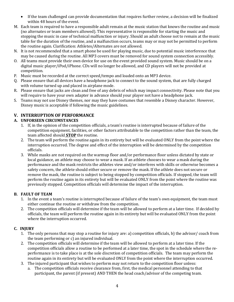- If the team challenged can provide documentation that requires further review, a decision will be finalized within 48 hours of the event.
- M. Each team is required to have a responsible adult remain at the music station that knows the routine and music (no alternates or team members allowed). This representative is responsible for starting the music and stopping the music in case of technical malfunction or injury. Should an adult choose not to remain at the music table for the duration of the routine, and a malfunction occurs, teams may or may not be permitted to perform the routine again. Clarification: Athletes/Alternates are not allowed.
- N. It is not recommended that a smart phone be used for playing music, due to potential music interference that may be caused during the routine. All MP3 covers must be removed for sound system connection accessibly.
- O. All teams must provide their own device for use on the event provided sound system. Music should be on a digital music player/iPod/iPhone. CDs will no longer be allowed, and CD players will not be provided at competition.
- P. Music must be recorded at the correct speed/tempo and loaded onto an MP3 device.
- Q. Please ensure that all devices have a headphone jack to connect to the sound system, that are fully charged with volume turned up and placed in airplane mode.
- R. Please ensure that jacks are clean and free of any debris of which may impact connectivity. Please note that you will require to have your own adapter in advance should your player not have a headphone jack.
- S. Teams may not use Disney themes, nor may they have costumes that resemble a Disney character. However, Disney music is acceptable if following the music guidelines.

#### **V. INTERRUPTION OF PERFORMANCE**

#### **A. UNFORSEEN CIRCUMSTANCES**

- 1. If, in the opinion of the competition officials, a team's routine is interrupted because of failure of the competition equipment, facilities, or other factors attributable to the competition rather than the team, the team affected should **STOP** the routine.
- 2. The team will perform the routine again in its entirety but will be evaluated ONLY from the point where the interruption occurred. The degree and effect of the interruption will be determined by the competition officials.
- 3. While masks are not required on the warmup floor and/or performance floor unless dictated by state or local guidance, an athlete may choose to wear a mask. If an athlete chooses to wear a mask during the performance and the mask restricts the athletes view and/or interferes with skills or otherwise becomes a safety concern, the athlete should either secure or remove the mask. If the athlete does not secure or remove the mask, the routine is subject to being stopped by competition officials. If stopped, the team will perform the routine again in its entirety but will be evaluated ONLY from the point where the routine was previously stopped. Competition officials will determine the impact of the interruption.

#### **B. FAULT OF TEAM**

- 1. In the event a team's routine is interrupted because of failure of the team's own equipment, the team must either continue the routine or withdraw from the competition.
- 2. The competition officials will determine if the team will be allowed to perform at a later time. If decided by officials, the team will perform the routine again in its entirety but will be evaluated ONLY from the point where the interruption occurred.

#### **C. INJURY**

- 1. The only persons that may stop a routine for injury are: a) competition officials, b) the advisor/ coach from the team performing or  $c$ ) an injured individual.
- 2. The competition officials will determine if the team will be allowed to perform at a later time. If the competition officials allow a routine to be performed at a later time, the spot in the schedule where the reperformance is to take place is at the sole discretion of competition officials. The team may perform the routine again in its entirety but will be evaluated ONLY from the point where the interruption occurred.
- 3. The injured participant that wishes to perform may not return to the competition floor unless:
	- a. The competition officials receive clearance from, first, the medical personnel attending to that participant, the parent (if present) AND THEN the head coach/advisor of the competing team.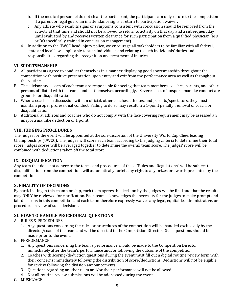- b. If the medical personnel do not clear the participant, the participant can only return to the competition if a parent or legal guardian in attendance signs a return to participation waiver.
- c. Any athlete who exhibits signs or symptoms consistent with concussion should be removed from the activity at that time and should not be allowed to return to activity on that day and a subsequent day until evaluated by and receives written clearance for such participation from a qualified physician (MD) or DO specifically trained in concussion management).
- 4. In addition to the UWCC head injury policy, we encourage all stakeholders to be familiar with all federal, state and local laws applicable to such individuals and relating to such individuals' duties and responsibilities regarding the recognition and treatment of injuries.

#### **VI. SPORTSMANSHIP**

- A. All participants agree to conduct themselves in a manner displaying good sportsmanship throughout the competition with positive presentation upon entry and exit from the performance area as well as throughout the routine.
- B. The advisor and coach of each team are responsible for seeing that team members, coaches, parents, and other persons affiliated with the team conduct themselves accordingly. Severe cases of unsportsmanlike conduct are grounds for disqualification.
- C. When a coach is in discussion with an official, other coaches, athletes, and parents/spectators, they must maintain proper professional conduct. Failing to do so may result in a 1-point penalty, removal of coach, or disqualification.
- D. Additionally, athletes and coaches who do not comply with the face covering requirement may be assessed an unsportsmanlike deduction of 1 point.

#### **VIII. JUDGING PROCEDURES**

The judges for the event will be appointed at the sole discretion of the University World Cup Cheerleading Championships (UWCC). The judges will score each team according to the judging criteria to determine their total score. Judges scores will be averaged together to determine the overall team score. The judges' score will be combined with deductions taken off the total score.

#### **IX. DISQUALIFICATION**

Any team that does not adhere to the terms and procedures of these "Rules and Regulations" will be subject to disqualification from the competition, will automatically forfeit any right to any prizes or awards presented by the competition.

#### **X. FINALITY OF DECISIONS**

By participating in this championship, each team agrees the decision by the judges will be final and that the results may ONLY be reviewed for clarification. Each team acknowledges the necessity for the judges to make prompt and fair decisions in this competition and each team therefore expressly waives any legal, equitable, administrative, or procedural review of such decisions.

#### **XI. HOW TO HANDLE PROCEDURAL QUESTIONS**

#### A. RULES & PROCEDURES

1. Any questions concerning the rules or procedures of the competition will be handled exclusively by the director/coach of the team and will be directed to the Competition Director. Such questions should be made prior to the event.

#### B. PERFORMANCE

- 1. Any questions concerning the team's performance should be made to the Competition Director immediately after the team's performance and/or following the outcome of the competition.
- 2. Coaches with scoring/deduction questions during the event must fill out a digital routine review form with their concerns immediately following the distribution of score/deductions. Deductions will not be eligible for review following the division announcements.
- 3. Questions regarding another team and/or their performance will not be allowed.
- 4. Not all routine review submissions will be addressed during the event.
- C. MUSIC/AGE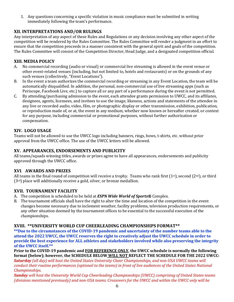1. Any questions concerning a specific violation in music compliance must be submitted in writing immediately following the team's performance.

#### **XII. INTERPRETATIONS AND/OR RULINGS**

Any interpretation of any aspect of these Rules and Regulations or any decision involving any other aspect of the competition will be rendered by the Rules Committee. The Rules Committee will render a judgment in an effort to ensure that the competition proceeds in a manner consistent with the general spirit and goals of the competition. The Rules Committee will consist of the Competition Director, Head Judge, and a designated competition official.

#### **XIII. MEDIA POLICY**

- A. No commercial recording (audio or visual) or commercial live streaming is allowed in the event venue or other event-related venues (including, but not limited to, hotels and restaurants) or on the grounds of any such venues (collectively, "Event Locations").
- B. In the event a team authorizes the commercial recording or streaming in any Event Location, the team will be automatically disqualified. In addition, the personal, non-commercial use of live streaming apps (such as Periscope, Facebook Live, etc.) to capture all or any part of a performance during the event is not permitted.
- C. By attending/purchasing admission to the event, each attendee grants permission to UWCC, and its affiliates, designees, agents, licensees, and invitees to use the image, likeness, actions and statements of the attendee in any live or recorded audio, video, film, or photographic display or other transmission, exhibition, publication, or reproduction made of, or at, the event in any medium, whether now known or hereafter created, or context for any purpose, including commercial or promotional purposes, without further authorization or compensation.

#### **XIV. LOGO USAGE**

Teams will not be allowed to use the UWCC logo including banners, rings, bows, t-shirts, etc. without prior approval from the UWCC office. The use of the UWCC letters will be allowed.

#### **XV. APPEARANCES, ENDORSEMENTS AND PUBLICITY**

All teams/squads winning titles, awards or prizes agree to have all appearances, endorsements and publicity approved through the UWCC office.

#### **XVI**. **AWARDS AND PRIZES**

All teams in the final round of competition will receive a trophy. Teams who rank first  $(1^{st})$ , second  $(2^{nd})$ , or third  $(3<sup>rd</sup>)$  place will additionally receive a gold, silver, or bronze medallion.

#### **XVII. TOURNAMENT FACILITY**

- A. The competition is scheduled to be held at *ESPN Wide World of Sports*<sup>®</sup> Complex.
- B. The tournament officials shall have the right to alter the time and location of the competition in the event changes become necessary due to inclement weather, facility problems, television production requirements, or any other situation deemed by the tournament offices to be essential to the successful execution of the championships.

#### **XVIII. \*\*UNIVERSITY WORLD CUP CHEERLEADING CHAMPIONSHIPS FORMAT\*\***

**\*\*Due to the circumstances of the COVID-19 pandemic and uncertainty of the number teams able to the attend the 2022 UWCC, the UWCC reserves the right to creatively adjust the UWCC schedule in order to provide the best experience for ALL athletes and stakeholders involved while also preserving the integrity** of the UWCC itself.\*\*

**Prior to the COVID-19 pandemic and FOR REFERENCE ONLY, the UWCC schedule is normally the following** format (below); however, the SCHEDULE BELOW WILL NOT REFLECT THE SCHEDULE FOR THE 2022 UWCC:

**Saturday** (all day) will host the United States University Cheer Championships, and non-USA UWCC teams will *conduct their routine performances (optional to the teams) in front of live audiences of the United States National Championships.* 

**Sunday** will host the University World Cup Cheerleading Championships (UWCC) comprising of United States teams *(divisions mentioned previously)* and non-USA teams. Crossovers for the UWCC and within the UWCC only will be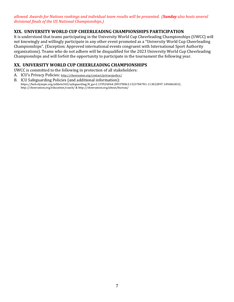*allowed. Awards for Nations rankings and individual team results will be presented. (Sunday also hosts several divisional finals of the US National Championships.)*

#### **XIX. UNIVERSITY WORLD CUP CHEERLEADING CHAMPIONSHIPS PARTICIPATION**

It is understood that teams participating in the University World Cup Cheerleading Championships (UWCC) will not knowingly and willingly participate in any other event promoted as a "University World Cup Cheerleading Championships". (Exception: Approved international events congruent with International Sport Authority organizations). Teams who do not adhere will be disqualified for the 2023 University World Cup Cheerleading Championships and will forfeit the opportunity to participate in the tournament the following year.

#### **XX. UNIVERSITY WORLD CUP CHEERLEADING CHAMPIONSHIPS**

UWCC is committed to the following in protection of all stakeholders:

- A. ICU's Privacy Policies: http://cheerunion.org/contact/privacypolicy/
- B. ICU Safeguarding Policies (and additional information): https://hub.olympic.org/athlete365/safeguarding/#\_ga=2.139526064.209378063.1523784781-113022897.1496863032, http://cheerunion.org/education/coach/ & http://cheerunion.org/about/bureau/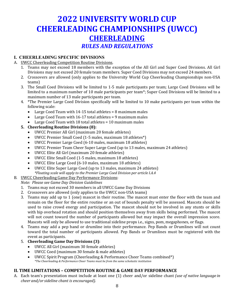# **2022 UNIVERSITY WORLD CUP CHEERLEADING CHAMPIONSHIPS (UWCC) CHEERLEADING** *RULES AND REGULATIONS*

#### **I. CHEERLEADING SPECIFIC DIVISIONS**

#### A. UWCC Cheerleading Competition Routine Divisions.

- 1. Teams may not exceed 18 members with the exception of the All Girl and Super Coed Divisions. All Girl Divisions may not exceed 20 female team members. Super Coed Divisions may not exceed 24 members.
- 2. Crossovers are allowed (only applies to the University World Cup Cheerleading Championships non-USA teams)
- 3. The Small Coed Divisions will be limited to 1-5 male participants per team; Large Coed Divisions will be limited to a maximum number of 10 male participants per team\*; Super Coed Divisions will be limited to a maximum number of 13 male participants per team.
- 4. \*The Premier Large Coed Division specifically will be limited to 10 make participants per team within the following scale:
	- Large Coed Team with  $14-15$  total athletes = 8 maximum males
	- Large Coed Team with  $16-17$  total athletes = 9 maximum males
	- Large Coed Team with  $18$  total athletes =  $10$  maximum males

## **5. Cheerleading Routine Divisions (8):**

- UWCC Premier All Girl (maximum 20 female athletes)
- UWCC Premier Small Coed (1-5 males, maximum 18 athletes\*)
- UWCC Premier Large Coed (6-10 males, maximum 18 athletes)
- UWCC Premier Team Cheer Super Large Coed (up to 13 males, maximum 24 athletes)
- UWCC Elite All Girl (maximum 20 female athletes)
- UWCC Elite Small Coed (1-5 males, maximum 18 athletes)
- UWCC Elite Large Coed (6-10 males, maximum 18 athletes)
- UWCC Elite Super Large Coed (up to 13 males, maximum 24 athletes) *\*Floating scale will apply to the Premier Large Coed Division per article I.A.4*

## B. UWCC Cheerleading Game Day Performance Divisions:

## *Note: Please see Game Day Division Guidelines*

- 1. Teams may not exceed 30 members in all UWCC Game Day Divisions
- 2. Crossovers are allowed (only applies to the UWCC non-USA teams)
- 3. Teams may add up to 1 (one) mascot in their routine. The mascot must enter the floor with the team and remain on the floor for the entire routine or an out of bounds penalty will be assessed. Mascots should be used to raise crowd energy and participation. The mascot should not be involved in any stunts or skills with hip overhead rotation and should position themselves away from skills being performed. The mascot will not count toward the number of participants allowed but may impact the overall impression score. Mascots will only be allowed to use traditional sideline props *i.e.*, signs, pom, megaphones, or flags.
- 4. Teams may add a pep band or drumline into their performance. Pep Bands or Drumlines will not count toward the total number of participants allowed. Pep Bands or Drumlines must be registered with the event as participants.
- 5. **Cheerleading Game Day Divisions (3)**:
	- UWCC All Girl (maximum 30 female athletes)
	- UWCC Coed (maximum 30 female & male athletes)
	- UWCC Spirit Program (Cheerleading & Performance Cheer Teams combined\*) *\*The Cheerleading & Performance Cheer Teams must be from the same scholastic institution*

## **II. TIME LIMITATIONS - COMPETITION ROUTINE & GAME DAY PERFORMANCE**

A. Each team's presentation must include at least one (1) cheer and/or sideline chant *(use of native language in cheer and/or sideline chant is encouraged).*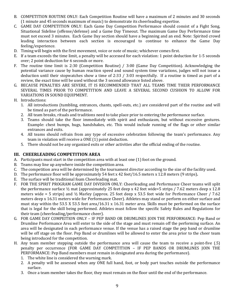- B. COMPETITION ROUTINE ONLY: Each Competition Routine will have a maximum of 2 minutes and 30 seconds (1 minute and 45 seconds maximum of music) to demonstrate its cheerleading expertise.
- C. GAME DAY COMPETITION ONLY: Each Game Day Competition Performance should consist of a Fight Song, Situational Sideline (offense/defense) and a Game Day Timeout. The maximum Game Day Performance time must not exceed 3 minutes. Each Game Day section should have a beginning and an end. Note: Spirited crowd leading interaction between each section is encouraged to continue to enhance the Game Day feeling/experience.
- D. Timing will begin with the first movement, voice or note of music; whichever comes first.
- E. If a team exceeds the time limit, a penalty will be accessed for each violation: 1 point deduction for 1-5 seconds over; 2 point deduction for 6 seconds or more.
- F. The routine time limit is 2:30 (Competition Routine) / 3:00 (Game Day Competition). Acknowledging the potential variance cause by human reaction speed and sound system time variations, judges will not issue a deduction until their stopwatches show a time of 2:33 / 3:03 respectfully. If a routine is timed as part of a review, the exact time will be used without the 3 second allowance listed above.
- G. BECAUSE PENALTIES ARE SEVERE, IT IS RECOMMENDED THAT ALL TEAMS TIME THEIR PERFORMANCE SEVERAL TIMES PRIOR TO COMPETITION AND LEAVE A SEVERAL SECOND CUSHION TO ALLOW FOR VARIATIONS IN SOUND EQUIPMENT.
- H. Introductions:
	- 1. All introductions (tumbling, entrances, chants, spell-outs, etc.) are considered part of the routine and will be timed as part of the performance.
	- 2. All team breaks, rituals and traditions need to take place prior to entering the performance surface.
	- 3. Teams should take the floor immediately with spirit and enthusiasm, but without excessive gestures. Example: chest bumps, hugs, handshakes, etc. This would include running of the flags or other similar entrances and exits.
	- 4. All teams should refrain from any type of excessive celebration following the team's performance. Any team in violation will receive a ONE (1) point deduction.
	- 5. There should not be any organized exits or other activities after the official ending of the routine.

#### **III. CHEERLEADING COMPETITION AREA**

- A. Participants must start in the competition area with at least one (1) foot on the ground.
- B. Teams may line up anywhere inside the competition area.
- C. The competition area will be determined by the tournament director according to the size of the facility used.
- D. The performance floor will be approximately 54 feet x 42 feet/16.5 meters x 12.8 meters (9 strips).
- E. The surface will be traditional foam Cheerleading mat.
- F. FOR THE SPIRIT PROGRAM GAME DAY DIVISION ONLY: Cheerleading and Performance Cheer teams will split the performance surface  $\frac{1}{2}$  mat (approximately 25 feet deep x 42 feet wide=5 strips / 7.62 meters deep x 12.8 meters wide = 5 strips) and  $\frac{1}{2}$  Marley (approx. 25 feet deep x 53.5 feet wide for Performance Cheer / 7.62 meters deep x 16.31 meters wide for Performance Cheer). Athletes may stand or perform on either surface and must stay within the 53.5 X 53.5 feet area/16.31 x 16.31 meter area. Skills must be performed on the surface that is legal for the skill being performed. Athletes must follow the specific Safety Rules and Regulations for their team (cheerleading/performance cheer).
- G. FOR GAME DAY COMPEITION ONLY IF PEP BAND OR DRUMLINES JOIN THE PERFORMANCE: Pep Band or Drumline Performance Area will enter to the side of the stage and must remain off the performing surface. An area will be designated in each performance venue. If the venue has a raised stage the pep band or drumline will be off stage on the floor. Pep Band or drumlines will be allowed to enter the area prior to the cheer team being introduced for the competition.
- H. Any team member stepping outside the performance area will cause the team to receive a point-five (.5) penalty per occurrence (FOR GAME DAY COMPETITION – IF PEP BANDS OR DRUMLINES JOIN THE PERFORMANCE: Pep Band members must remain in designated area during the performance).
	- 1. The white line is considered the warning mark.
	- 2. A penalty will be assessed when any ONE full hand, foot, or body part touches outside the performance surface.
	- 3. Once a team member takes the floor, they must remain on the floor until the end of the performance.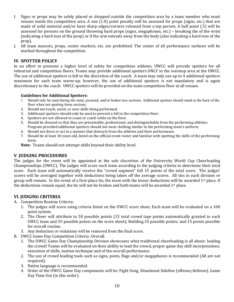- I. Signs or props may be safely placed or dropped outside the competition area by a team member who must remain inside the competition area. A one  $(1.0)$  point penalty will be assessed for props (signs, etc.) that are made of solid material and/or have sharp edges/corners released from a top person. A half point (.5) will be assessed for persons on the ground throwing hard props (signs, megaphones, etc.) – breaking the of the wrist (indicating a hard toss of the prop) or if the arm extends away from the body (also indicating a hard toss of the prop).
- J. All team mascots, props, center markets, etc. are prohibited. The center of all performance surfaces will be marked throughout the competition.

#### **IV. SPOTTER POLICY**

In an effort to promote a higher level of safety for competition athletes, UWCC will provide spotters for all rehearsal and competition floors. Teams may provide additional spotters ONLY in the warmup area at the UWCC. The use of additional spotters is left to the discretion of the coach. A team may only use up to 4 additional spotters maximum for each team warm-up; however, the use of additional spotters is not mandatory and is again discretionary to the coach. UWCC spotters will be provided on the main competition floor at all venues.

#### **Guidelines for Additional Spotters:**

- 1. Should only be used during the stunt, pyramid, and/or basket toss sections. Additional spotters should stand at the back of the floor when not spotting those sections.
- 2. Should not touch, assist, or save skills being performed.
- 3. Additional spotters should only be used to prevent a fall to the competition floor.
- 4. Spotters are not allowed to count or coach while on the floor.
- 5. Should be dressed so that they are presentable, professional, and distinguishable from the performing athletes. Program provided additional spotters should not wear clothing similar to the performing team's uniform.
- 6. Should not dress or act in a manner that distracts from the athletes and their performance.
- 7. Should be at least 18 years old, listed on the official event roster and familiar with spotting the skills of the performing team.

**Note**: Teams should not attempt skills beyond their ability level.

#### **V. JUDGING PROCEDURES**

The judges for the event will be appointed at the sole discretion of the University World Cup Cheerleading Championships (UWCC). The judges will score each team according to the judging criteria to determine their total score. Each team will automatically receive the "crowd segment" full 15 points of the total score. The judges' scores will be averaged together with deductions being taken off the average scores. All ties in each division or group will remain. In the event of a first-place tie, the team with the lessor deductions will be awarded  $1<sup>st</sup>$  place. If the deductions remain equal, the tie will not be broken and both teams will be awarded  $1<sup>st</sup>$  place.

#### **VI**. **JUDGING CRITERIA**

- A. Competition Routine Criteria:
	- 1. The judges will score using criteria listed on the UWCC score sheet. Each team will be evaluated on a 100 point system.
	- 2. The Cheer will attribute to 50 possible points (15 total crowd tape points automatically granted to each UWCC team and 35 possible points on the score sheet); Building 35 possible points; and 15 points possible for overall routine.
	- 3. Any deduction or violations will be removed from the final score.
- B. UWCC Game Day Competition Criteria -Overall:
	- 1. The UWCC Game Day Championship Division showcases what traditional cheerleading is all about- leading the crowd! Teams will be evaluated on their ability to lead the crowd, proper game day skill incorporations, execution of skills, motion technique and of the overall performance.
	- 2. The use of crowd leading tools such as signs, poms, flags and/or megaphones is recommended (All are not required).
	- 3. Native language is recommended.
	- 4. Order of the UWCC Game Day components will be: Fight Song, Situational Sideline (offense/defense), Game Day Time Out (in this order).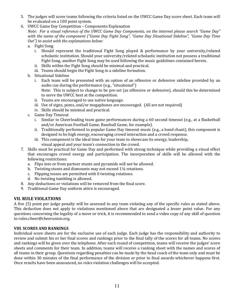- 5. The judges will score teams following the criteria listed on the UWCC Game Day score sheet. Each team will be evaluated on a 100 point system.
- 6. UWCC Game Day Competition Components Explanation *Note: For a visual reference of the UWCC Game Day Components, on the internet please search "Game Day"* with the name of the component ("Game Day Fight Song", "Game Day Situational Sideline", "Game Day Time *Out"*) to assist with the explanations below:
	- a. Fight Song
		- i. Should represent the traditional Fight Song played  $&$  performance by your university/related scholastic institution. Should your university/related scholastic institution not possess a traditional Fight Song, another Fight Song may be used following the music guidelines contained herein.
		- ii. Skills within the Fight Song should be minimal and practical.
		- iii. Teams should begin the Fight Song in a sideline formation.
	- b. Situational Sideline
		- i. Each team will be presented with an option of an offensive or defensive sideline provided by an audio cue during the performance (e.g., "situational") Note: This is subject to change to be pre-set (as offensive or defensive), should this be determined
		- to serve the UWCC best at the competition.
		- ii. Teams are encouraged to use native language.
		- iii. Use of signs, poms, and/or megaphones are encouraged. (All are not required)
		- iv. Skills should be minimal and practical.
	- c. Game Day Timeout
		- i. Similar to Cheerleading team game performances during a 60 second timeout (e.g., at a Basketball and/or American Football Game, Baseball Game, for example).
		- ii. Traditionally performed to popular Game Day timeout music (e.g., a band chant), this component is designed to be high energy, encouraging crowd interaction and a crowd response.
		- iii. This component is the ideal time for your team to showcase its energy, leadership, visual appeal and your team's connection to the crowd.
- 7. Skills must be practical for Game Day and performed with strong technique while providing a visual effect that encourages crowd energy and participation. The incorporation of skills will be allowed with the following restrictions:
	- a. Flips into or from partner stunts and pyramids will not be allowed.
	- b. Twisting stunts and dismounts may not exceed  $1\frac{1}{4}$  rotations.
	- c. Flipping tosses are permitted with 0 twisting rotations.
	- d. No twisting tumbling is allowed.
- 8. Any deductions or violations will be removed from the final score.
- 9. Traditional Game Day uniform attire is encouraged.

#### **VII. RULE VIOLATIONS**

A five (5) point per judge penalty will be assessed to any team violating any of the specific rules as stated above. This deduction does not apply to violations mentioned above that are designated a lesser point value. For any questions concerning the legality of a move or trick, it is recommended to send a video copy of any skill of question to rules.cheer@cheerunion.org.

#### **VIII. SCORES AND RANKINGS**

Individual score sheets are for the exclusive use of each judge. Each judge has the responsibility and authority to review and submit his or her final scores and rankings prior to the final tally of the scores for all teams. No scores and rankings will be given over the telephone. After each round of competition, teams will receive the judges' score sheets and comments for their team. In addition, teams will receive a ranking sheet with the names and scores of all teams in their group. Questions regarding penalties can be made by the head coach of the team only and must be done within 30 minutes of the final performance of the division or prior to final awards-whichever happens first. Once results have been announced, no rules violation challenges will be accepted.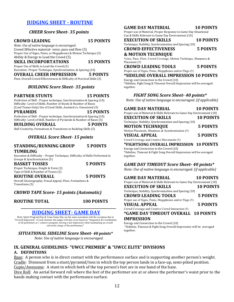#### **JUDGING SHEET - ROUTINE**

#### *CHEER Score Sheet- 35 points*

#### **CROWD LEADING 15 POINTS**

*Note: Use of native language is encouraged.* Crowd Effective material-voice, pace and flow (5) Proper Use of Signs, Poms, or Megaphones & Motion Technique (5) Ability & Energy to Lead the Crowd (5)

#### **SKILL INCORPORTATIONS 15 POINTS**

Proper Use of Skills to Lead the Crowd (5)

Execution-Proper Technique, Synchronization, & Spacing (10) **OVERALL CHEER IMPRESSION 5 POINTS**

Flow, Overall Crowd Effectiveness & Difficulty of Practical Skills (5)

#### *BUILDING Score Sheet- 35 points*

#### **PARTNER STUNTS 15 POINTS**

Perfection of Skill - Proper technique, Synchronization & Spacing (10) Difficulty- Level of Skills, Number of Stunts & Number of Bases (Coed Teams Only) Use of Coed Skills, Assisted vs. Unassisted (5)

**PYRAMIDS 15 POINTS**

Perfection of Skill - Proper technique, Synchronization & Spacing (10) Difficulty- Level of Skill, Number of Pyramids & Number of Bases (5) **BUILDING OVERALL 5 POINTS**

Skill Creativity, Formations & Transitions in Building Skills (5)

#### *OVERALL Score Sheet- 15 points*

#### **STANDING/RUNNING GROUP 5 POINTS TUMBLING**

Execution & Difficulty - Proper Technique, Difficulty of Skills Performed in Groups & Synchronization (5)

**BASKET TOSSES** 5 POINTS Proper Technique, Height & Form (3) Type of Skill & Number of Tosses (2)

**ROUTINE OVERALL 5 POINTS**

Overall Choreography, Visual Appeal, Flow, Formations & Transitions (5)

#### *CROWD TAPE Score- 15 points (Automatic)*

#### **ROUTINE TOTAL 100 POINTS**

#### **\_\_\_\_\_\_\_\_\_\_\_\_\_\_\_\_\_\_\_\_\_\_\_\_\_\_\_\_\_\_\_\_\_\_\_\_\_\_\_\_\_\_\_\_\_\_\_\_\_\_\_\_\_\_\_\_** *NUDGING SHEET- GAME DAY*

Note: Spirit Program Day & Team Game Day are the same scoresheet with the exception that in "Overall Impression" of each element, the judges will also score based on "Integration & Coordination of all performers as 1 cohesive program, leaving a last impression while maintaining an overall university image of the performance"

#### *SITUATIONAL SIDELINE Score Sheet- 40 points\**

*Note:* Use of native language is encouraged.

#### GAME DAY MATERIAL **10 POINTS**

Proper use of Material, Proper Response to Game Day Situational Cue & Skills Relevant to Game Day Environment (10)

#### **EXECUTION OF SKILLS 10 POINTS**

Technique, Stability, Synchronization and Spacing (10)

**CROWD EFFECTIVENESS 5 POINTS**

#### **& MOTION TECHNIQUE**

Voice, Pace, Flow, Crowd Coverage, Motion Technique, Sharpness & Placement (5)

#### **CROWD LEADING TOOLS 5 POINTS**

Proper use of Signs, Poms, Megaphones and/or Flags (5)

#### **\*SIDELINE OVERALL IMPRESSION 10 POINTS**

Energy and Connection to the Crowd (10) \*Sideline, Fight Song & Timeout Overall Impression will be averaged together. 

#### *FIGHT SONG Score Sheet- 40 points\**

*Note: Use of native language is encouraged. (if applicable)* 

| <b>GAME DAY MATERIAL</b><br>Proper use of Material & Skills Relevant to Game Day Environment (10) | 10 POINTS        |
|---------------------------------------------------------------------------------------------------|------------------|
| <b>EXECUTION OF SKILLS</b>                                                                        | <b>10 POINTS</b> |
| Technique, Stability, Synchronization and Spacing (10)                                            |                  |
| <b>MOTION TECHNIQUE</b>                                                                           | <b>5 POINTS</b>  |
| Motion Placement, Sharpness & Synchronization (5)                                                 |                  |
| <b>VISUAL APPEAL</b>                                                                              | <b>5 POINTS</b>  |
| Crowd Coverage and Creative Movements (5)                                                         |                  |
| *FIGHTSONG OVERALL IMPRESSION 10 POINTS                                                           |                  |
| Energy and Connection to the Crowd (10)                                                           |                  |
| *Sideline, Timeout & Fight Song Overall Impression will be averaged                               |                  |
| together.                                                                                         |                  |

#### *GAME DAY TIMEOUT Score Sheet- 40 points\**

*Note:* Use of native language is encouraged. (if applicable)

| <b>GAME DAY MATERIAL</b>                                              | <b>10 POINTS</b> |
|-----------------------------------------------------------------------|------------------|
| Proper use of Material & Skills Relevant to Game Day Environment (10) |                  |
| <b>EXECUTION OF SKILLS</b>                                            | <b>10 POINTS</b> |
| Technique, Stability, Synchronization and Spacing (10)                |                  |
| <b>CROWD LEADING TOOLS</b>                                            | <b>5 POINTS</b>  |
| Proper use of Signs, Poms, Megaphones and/or Flags (5)                |                  |
| <b>VISUAL APPEAL</b>                                                  | 5 POINTS         |
| Crowd Coverage and Creative Crowd Interaction (5)                     |                  |
| <i>*GAME DAY TIMEOUT OVERALL 10 POINTS</i>                            |                  |
| <b>IMPRESSION</b>                                                     |                  |

Energy and Connection to the Crowd (10) \*Sideline, Timeout & Fight Song Overall Impression will be averaged 

#### **IX. GENERAL GUIDELINES- "UWCC PREMIER" & "UWCC ELITE" DIVISIONS A. DEFINITIONS**

Base: A person who is in direct contact with the performance surface and is supporting another person's weight. Cradle: Dismount from a stunt/pyramid/toss in which the top person lands in a face-up, semi-piked position. Cupie/Awesome: A stunt in which both of the top person's feet are in one hand of the base.

together. 

Dive Roll: An aerial forward roll where the feet of the performer are at or above the performer's waist prior to the hands making contact with the performance surface.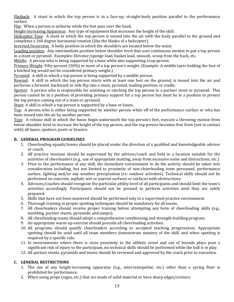Flatback: A stunt in which the top person is in a face-up, straight-body position parallel to the performance surface. 

Flip: When a person is airborne while the feet pass over the head.

Height-increasing Apparatus: Any type of equipment that increases the height of the skill.

Helicopter Toss: A stunt in which the top person is tossed into the air with the body parallel to the ground and completes a 360 degree horizontal rotation (like the blades of a helicopter).

Inverted/Inversion: A body position in which the shoulders are located below the waist.

Loading position: Any intermediate position below shoulder level that uses continuous motion to put a top person in a stunt or pyramid. Examples: Elevator/sponge load, basket load, smoosh, scoop from the back, etc.

Middle: A person who is being supported by a base while also supporting a top person.

Primary Weight: Fifty percent (50%) or more of a top person's weight. (Example: A middle layer holding the foot of a hitched leg would not be considered primary weight.)

Pyramid: A skill in which a top person is being supported by a middle person.

Rewind: A skill in which the top person starts with at least one foot on the ground, is tossed into the air and performs a forward, backward or side flip into a stunt, pyramid, loading position or cradle.

Spotter: A person who is responsible for assisting or catching the top person in a partner stunt or pyramid. This person cannot be in a position of providing primary support for a top person but must be in a position to protect the top person coming out of a stunt or pyramid.

Stunt: A skill in which a top person is supported by a base or bases.

Top: A person who is either being supported by another person while off of the performance surface or who has been tossed into the air by another person.

Toss: A release skill in which the bases begin underneath the top person's feet, execute a throwing motion from below shoulder level to increase the height of the top person, and the top person becomes free from (not in contact with) all bases, spotters, posts or bracers.

#### **B. GENERAL PROGRAM GUIDELINES**

- 1. Cheerleading squads/teams should be placed under the direction of a qualified and knowledgeable advisor or coach.
- 2. All practice sessions should be supervised by the advisor/coach and held in a location suitable for the activities of cheerleaders (e.g., use of appropriate matting, away from excessive noise and distractions, etc.)
- 3. Prior to the performance of any skill, the immediate environment to do the activity should be taken into consideration including, but not limited to proximity of non-cheerleading team personnel, performance surface, lighting and/or any weather precipitation (re: outdoor activities). Technical skills should not be performed on concrete, asphalt, wet or uneven surfaces or surfaces with obstructions.
- 4. Advisors/coaches should recognize the particular ability level of all participants and should limit the team's activities accordingly. Participants should not be pressed to perform activities until they are safely prepared.
- 5. Skills that have not been mastered should be performed only in a supervised practice environment.
- 6. Thorough training in proper spotting techniques should be mandatory for all teams.
- 7. All cheerleaders should receive proper training before attempting any form of cheerleading skills (e.g., tumbling, partner stunts, pyramids, and jumps).
- 8. All cheerleading teams should adopt a comprehensive conditioning and strength-building program.
- 9. An appropriate warm-up exercise should precede all cheerleading activities.
- 10. All programs should qualify cheerleaders according to accepted teaching progressions. Appropriate spotting should be used until all team members demonstrate mastery of the skill, and when spotting is required by a specific rule.
- 11. In environments where there is close proximity to the athletic event and out of bounds plays pose a significant risk of injury to the participant, no technical skills should be performed while the ball is in play.
- 12. All partner stunts, pyramids and tosses should be reviewed and approved by the coach prior to execution.

#### **C. GENERAL RESTRICTIONS**

- 1. The use of any height-increasing apparatus (e.g., mini-trampoline, etc.) other than a spring floor is prohibited for performance.
- 2. When using props (signs, etc.) that are made of solid material or have sharp edges/corners: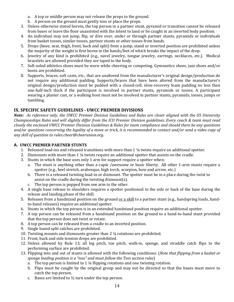- a. A top or middle person may not release the props to the ground.
- b. A person on the ground must gently toss or place the props.
- 3. Unless otherwise stated herein, the top person in a partner stunt, pyramid or transition cannot be released from bases or leave the floor unassisted with the intent to land or be caught in an inverted body position.
- 4. An individual may not jump, flip, or dive over, under or through partner stunts, pyramids or individuals from basket tosses, similar tosses, partner stunts or other tosses from hands.
- 5. Drops (knee, seat, thigh, front, back and split) from a jump, stand or inverted position are prohibited unless the majority of the weight is first borne in the hands/feet of which breaks the impact of the drop.
- 6. Jewelry of any kind is prohibited (e.g., navel jewelry, tongue jewelry, earrings, necklaces, etc.). Medical bracelets are allowed provided they are taped to the body.
- 7. Soft-soled athletics shoes must be worn while cheering or competing. Gymnastics shoes, jazz shoes and/or boots are prohibited.
- 8. Supports, braces, soft casts, etc., that are unaltered from the manufacturer's original design/production do not require any additional padding. Supports/braces that have been altered from the manufacturer's original design/production must be padded with a closed-cell, slow-recovery foam padding no less than one-half-inch thick if the participant is involved in partner stunts, pyramids or tosses. A participant wearing a plaster cast, or a walking boot must not be involved in partner stunts, pyramids, tosses, jumps or tumbling.

#### **IX. SPECIFIC SAFETY GUIDELINES - UWCC PREMIER DIVISIONS**

*Note:* As reference only, the UWCC Premier Division Guidelines and Rules are closer aligned with the US University *Championships Rules and will slightly differ from the ICU Premier Division quidelines. Every coach & team must read closely* the enclosed UWCC Premier Division Guidelines & Rules for team compliance and should there be any questions and/or questions concerning the legality of a move or trick, it is recommended to contact and/or send a video copy of *any skill of question to rules.cheer@cheerunion.org.*

#### **A. UWCC PREMIER PARTNER STUNTS**

- 1. Released load-ins and released transitions with more than  $1\frac{1}{4}$  twists require an additional spotter.
- 2. Dismounts with more than  $1\frac{1}{4}$  twists require an additional spotter that assists on the cradle.
- 3. Stunts in which the base uses only 1 arm for support require a spotter when:
	- a. The stunt is anything other than a cupie /awesome or basic liberty. All other 1-arm stunts require a spotter (e.g., heel stretch, arabesque, high torch, scorpion, bow and arrow, etc.)
	- b. There is a released twisting load-in or dismount. The spotter must be in a place during the twist to assist on the cradle during the twisting dismount(s).
	- c. The top person is popped from one arm to the other.
- 4. A single base release to shoulders requires a spotter positioned to the side or back of the base during the release and landing phase of the skill.
- 5. Releases from a handstand position on the ground <u>or a skill</u> to a partner stunt (e.g., handspring loads, handto-hand releases) require an additional spotter.
- 6. Stunts in which the top person is in an extended handstand position require an additional spotter.
- 7. A top person can be released from a handstand position on the ground to a hand-to-hand stunt provided that the top person does not twist or rotate.
- 8. A top person can be released from a cradle to an inverted position.
- 9. Single based split catches are prohibited.
- 10. Twisting mounts and dismounts greater than 2  $\frac{1}{4}$  rotations are prohibited.
- 11. Front, back and side tension drops are prohibited.
- 12. Unless allowed by Rule 13, all leg pitch, toe pitch, walk-in, sponge, and straddle catch flips to the performing surface are prohibited.
- 13. Flipping into and out of stunts is allowed with the following conditions: (*Note that flipping from a basket or sponge loading position is a "toss" and must follow the Toss section rules*)
	- a. The top person is limited to 1  $\frac{1}{4}$  flipping rotations and one twisting rotation.
	- b. Flips must be caught by the original group and may not be directed so that the bases must move to catch the top person.
	- c. Bases are limited to  $\frac{1}{2}$  turn under the top person.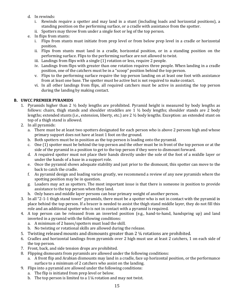- d. In rewinds:
	- i. Rewinds require a spotter and may land in a stunt (including loads and horizontal positions), a standing position on the performing surface, or a cradle with assistance from the spotter.
	- ii. Spotters may throw from under a single foot or leg of the top person.
- e. In flips from stunts:
	- i. Flips from stunts must initiate from prep level or from below prep level in a cradle or horizontal position.
	- ii. Flips from stunts must land in a cradle, horizontal position, or in a standing position on the performing surface. Flips to the performing surface are not allowed to twist.
	- iii. Landings from flips with a single  $(1)$  rotation or less, require 2 people.
	- iv. Landings from flips with greater than one rotation requires three people. When landing in a cradle position, one of the catchers must be in a "scoop" position behind the top person.
	- v. Flips to the performing surface require the top person landing on at least one foot with assistance from at least one base. The spotter must be active but is not required to make contact.
	- vi. In all other landings from flips, all required catchers must be active in assisting the top person during the landing by making contact.

#### **B. UWCC PREMIER PYRAMIDS**

- 1. Pyramids higher than 2  $\frac{1}{2}$  body lengths are prohibited. Pyramid height is measured by body lengths as follows: chairs, thigh stands and shoulder straddles are  $1 \frac{1}{2}$  body lengths; shoulder stands are 2 body lengths; extended stunts (i.e., extension, liberty, etc.) are 2 1/2 body lengths. Exception: an extended stunt on top of a thigh stand is allowed.
- 2. In all pyramids:
	- a. There must be at least two spotters designated for each person who is above 2 persons high and whose primary support does not have at least 1 foot on the ground.
	- b. Both spotters must be in position as the top person is loading onto the pyramid.
	- c. One (1) spotter must be behind the top person and the other must be in front of the top person or at the side of the pyramid in a position to get to the top person if they were to dismount forward.
	- d. A required spotter must not place their hands directly under the sole of the foot of a middle layer or under the hands of a base in a support role.
	- e. Once the pyramid shows adequate stability and just prior to the dismount, this spotter can move to the back to catch the cradle.
	- f. As pyramid design and loading varies greatly, we recommend a review of any new pyramids where the spotting position may be in question.
	- g. Loaders may act as spotters. The most important issue is that there is someone in position to provide assistance to the top person when they land.
	- h. Only bases and middle layer persons can bear primary weight of another person.
- 3. In all "2-1-1 thigh stand tower" pyramids, there must be a spotter who is not in contact with the pyramid in place behind the top person. If a bracer is needed to assist the thigh stand middle layer, they do not fill this role and an additional spotter who is not in contact with a pyramid is required.
- 4. A top person can be released from an inverted position (e.g., hand-to-hand, handspring up) and land inverted in a pyramid with the following conditions:
	- a. A minimum of 2 bases/spotters must load the skill.
	- b. No twisting or rotational skills are allowed during the release.
- 5. Twisting released mounts and dismounts greater than  $2\frac{1}{4}$  rotations are prohibited.
- 6. Cradles and horizontal landings from pyramids over 2 high must use at least 2 catchers, 1 on each side of the top person.
- 7. Front, back, and side tension drops are prohibited.
- 8. Flipping dismounts from pyramids are allowed under the following conditions:
	- a. A front flip and Arabian dismounts may land in a cradle, face up horizontal position, or the performance surface to a minimum of 2 catchers who assist on the landing.
- 9. Flips into a pyramid are allowed under the following conditions:
	- a. The flip is initiated from prep level or below.
	- b. The top person is limited to a  $1\frac{1}{4}$  rotation and may not twist.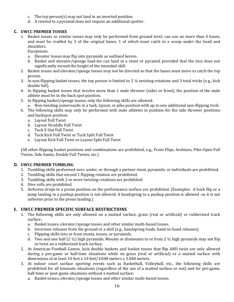- c. The top person(s) may not land in an inverted position.
- d. A rewind to a pyramid does not require an additional spotter.

#### **C. UWCC PREMIER TOSSES**

1. Basket tosses or similar tosses may only be performed from ground level, can use no more than 4 bases, and must be cradled by 3 of the original bases, 1 of which must catch in a scoop under the head and shoulders.

Exceptions:

- a. Elevator tosses may flip into pyramids as outlined herein.
- b. Basket and elevator/sponge load-ins can land in a stunt or pyramid provided that the toss does not significantly exceed the height of the intended skill.
- 2. Basket tosses and elevator/sponge tosses may not be directed so that the bases must move to catch the top person.
- 3. In non-flipping basket tosses, the top person is limited to 2  $\frac{1}{4}$  twisting rotations and 3 total tricks (e.g., kick double full).
- 4. In flipping basket tosses that involve more than 1 male thrower (sides or front), the position of the male athlete must be in the back spot position.
- 5. In flipping basket/sponge tosses, only the following skills are allowed:
- a. Non-twisting somersaults in a tuck, layout, or pike position with up to one additional non-flipping trick.
- 6. The following skills may only be performed with male athletes in position for the side thrower positions and backspot position:
	- a. Layout Full Twist
	- b. Layout Straddle Full Twist
	- c. Tuck X Out Full Twist
	- d. Tuck Kick Full Twist or Tuck Split Full Twist
	- e. Layout Kick Full Twist or Layout Split Full Twist

(All other flipping basket positions and combinations are prohibited, e.g., Front Flips, Arabians, Pike-Open Full Twists, Side Sumis, Double Full Twists, etc.)

#### **D. UWCC PREMIER TUMBLING**

- 1. Tumbling skills performed over, under, or through a partner stunt, pyramids, or individuals are prohibited.
- 2. Tumbling skills that exceed 1 flipping rotation are prohibited.
- 3. Tumbling skills with 2 or more twisting rotations are prohibited
- 4. Dive rolls are prohibited.
- 5. Airborne drops to a prone position on the performance surface are prohibited. (Examples: A back flip or a jump landing in a pushup position is not allowed. A handspring to a pushup position is allowed -as it is not airborne prior to the prone landing.)

#### **E. UWCC PREMIER SPECIFIC SURFACE RESTRICTIONS**

- 1. The following skills are only allowed on a matted surface, grass (real or artificial) or rubberized track surface:
	- a. Basket tosses, elevator/sponge tosses and other similar multi-based tosses.
	- b. Inversion releases from the ground or a skill (e.g., handspring loads, hand-to-hand releases).
	- c. Flipping skills into or from stunts, tosses, or pyramids.
	- d. Two and one half (2  $\frac{1}{2}$ ) high pyramids. Mounts or dismounts to or from 2  $\frac{1}{2}$  high pyramids may not flip or twist on a rubberized track surface.
- 2. At American Football Games, kick double baskets and basket tosses that flip AND twist are only allowed during a pre-game or half-time situations while on grass (real or artificial) or a matted surface with dimensions of at least 10 feet x 10 feet/3.048 meters x 3.048 meters.
- 3. At indoor court surface sporting events such as Basketball, Volleyball, etc., the following skills are prohibited for all timeouts situations (regardless of the use of a matted surface or not) and for pre-game, half-time or post-game situations without a matted surface:
	- a. Basket tosses, elevator/sponge tosses and other similar multi-based tosses.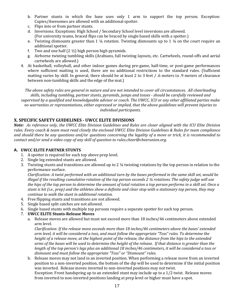- b. Partner stunts in which the base uses only 1 arm to support the top person. Exception: Cupies/Awesomes are allowed with an additional spotter.
- c. Flips into or from partner stunts.
- d. Inversions. Exceptions: High School / Secondary School level inversions are allowed. (For university teams, braced flips can be braced by single based skills with a spotter.)
- e. Twisting dismounts greater than 1  $\frac{1}{4}$  rotation. Twisting dismounts up to 1  $\frac{1}{4}$  on the court require an additional spotter.
- f. Two and one half  $(2 \frac{1}{2})$  high person high pyramids.
- g. Airborne twisting tumbling skills (Arabians, full twisting layouts, etc. Cartwheels, round-offs and aerial cartwheels are allowed.)
- 4. At basketball, volleyball, and other indoor games during pre-game, half-time, or post-game performances where sufficient matting is used, there are no additional restrictions to the standard rules. (Sufficient matting varies by skill. In general, there should be at least 2 to 3 feet / .6 meters to .9 meters of clearance between non-tumbling skills and the edge of the mat.)

*The above safety rules are general in nature and are not intended to cover all circumstances. All cheerleading* skills, including tumbling, partner stunts, pyramids, jumps and tosses - should be carefully reviewed and supervised by a qualified and knowledgeable advisor or coach. The UWCC, ICU or any other affiliated parties make no warranties or representations, either expressed or implied, that the above guidelines will prevent injuries to *individual participants.*

#### **X. SPECIFIC SAFETY GUIDELINES - UWCC ELITE DIVISIONS**

*Note:* As reference only, the UWCC Elite Division Guidelines and Rules are closer aligned with the ICU Elite Division rules. Every coach & team must read closely the enclosed UWCC Elite Division Guidelines & Rules for team compliance and should there be any questions and/or questions concerning the legality of a move or trick, it is recommended to *contact and/or send a video copy of any skill of question to rules.cheer@cheerunion.org.* 

#### **A. UWCC ELITE PARTNER STUNTS**

- 1. A spotter is required for each top above prep level.
- 2. Single leg extended stunts are allowed.
- 3. Twisting stunts and transitions are allowed up to 2  $\frac{1}{4}$  twisting rotations by the top person in relation to the performance surface.

*Clarification:* A twist performed with an additional turn by the bases performed in the same skill set, would be *illegal* if the resulting cumulative rotation of the top person exceeds 2 ¼ rotations. The safety judge will use the hips of the top person to determine the amount of total rotation a top person performs in a skill set. Once a *stunt is hit (i.e., prep)* and the athletes show a definite and clear stop with a stationary top person, they may *continue to walk the stunt in additional rotation.* 

- 4. Free flipping stunts and transitions are not allowed.
- 5. Single based split catches are not allowed.
- 6. Single based stunts with multiple top persons require a separate spotter for each top person.

#### 7. **UWCC ELITE Stunts-Release Moves**

a. Release moves are allowed but must not exceed more than 18 inches/46 centimeters above extended arm level.

*Clarification: If the release move exceeds more than 18 inches/46 centimeters above the bases' extended arm* level, it will be considered a toss, and must follow the appropriate "Toss" rules. To determine the *height* of a release move, at the highest point of the release, the distance from the hips to the extended arms of the bases will be used to determine the height of the release. If that distance is greater than the *length* of the top person's legs plus an additional 18 inches/46 centimeters, it will be considered a toss or dismount and must follow the appropriate "Toss" or "Dismount" rules.

b. Release moves may not land in an inverted position. When performing a release move from an inverted position to a non-inverted position, the bottom of the dip will be used to determine if the initial position was inverted. Release moves inverted to non-inverted positions may not twist.

Exception: Front handspring up to an extended stunt may include up to a  $1/2$  twist. Release moves from inverted to non-inverted positions landing at prep level or higher must have a spot.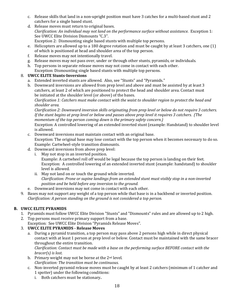- c. Release skills that land in a non-upright position must have 3 catches for a multi-based stunt and 2 catchers for a single based stunt.
- d. Release moves must return to original bases. *Clarification: An individual may not land on the performance surface without assistance.* Exception 1: See UWCC Elite Division Dismounts "C.3". Exception 2: Dismounting single based stunts with multiple top persons.
- e. Helicopters are allowed up to a 180 degree rotation and must be caught by at least 3 catchers, one (1) of which is positioned at head and shoulder area of the top person.
- f. Release moves may not intentionally travel.
- g. Release moves may not pass over, under or through other stunts, pyramids, or individuals.
- h. Top persons in separate release moves may not come in contact with each other. Exception: Dismounting single based stunts with multiple top persons.

#### 8. **UWCC ELITE Stunts-Inversions**

- a. Extended inverted stunts are allowed. Also, see "Stunts" and "Pyramids."
- b. Downward inversions are allowed from prep level and above and must be assisted by at least 3 catchers, at least 2 of which are positioned to protect the head and shoulder area. Contact must be initiated at the shoulder level (or above) of the bases.

*Clarification 1: Catchers must make contact with the waist to shoulder region to protect the head and* shoulder area.

*Clarification 2: Downward inversion skills originating from prep level or below do not require 3 catchers. If* the stunt begins at prep level or below and passes above prep level it requires 3 catchers. (The *momentum of the top person coming down is the primary safety concern.)* 

Exception: A controlled lowering of an extended inverted stunt (example: Handstand) to shoulder level is allowed.

- c. Downward inversions must maintain contact with an original base. Exception: The original base may lose contact with the top person when it becomes necessary to do so. Example: Cartwheel-style transition dismounts.
- d. Downward inversions from above prep level:
	- i. May not stop in an inverted position.

Example: A cartwheel roll off would be legal because the top person is landing on their feet. Exception: A controlled lowering of an extended inverted stunt (example: handstand) to shoulder level is allowed.

- ii. May not land on or touch the ground while inverted. *Clarification:* Prone or supine landings from an extended stunt must visibly stop in a non-inverted position and be held before any inversion to the ground.
- e. Downward inversions may not come in contact with each other.
- 9. Bases may not support any weight of a top person while that base is in a backbend or inverted position. *Clarification:* A person standing on the ground is not considered a top person.

#### **B. UWCC ELITE PYRAMIDS**

- 1. Pyramids must follow UWCC Elite Division "Stunts" and "Dismounts" rules and are allowed up to 2 high.
- 2. Top persons must receive primary support from a base.

Exception: See UWCC Elite Division "Pyramids Release Moves".

#### 3. **UWCC ELITE PYRAMIDS - Release Moves**

a. During a pyramid transition, a top person may pass above 2 persons high while in direct physical contact with at least 1 person at prep level or below. Contact must be maintained with the same bracer throughout the entire transition.

*Clarification: Contact must be made with a base on the performing surface BEFORE contact with the bracer(s)* is lost.

- b. Primary weight may not be borne at the 2<sup>nd</sup> level. *Clarification: The transition must be continuous.*
- c. Non-inverted pyramid release moves must be caught by at least 2 catchers (minimum of 1 catcher and 1 spotter) under the following conditions:
	- i. Both catchers must be stationary**.**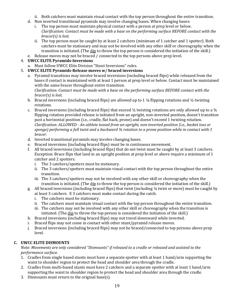- ii. Both catchers must maintain visual contact with the top person throughout the entire transition.
- d. Non inverted transitional pyramids may involve changing bases. When changing bases:
	- i. The top person must maintain physical contact with a person at prep level or below. *Clarification: Contact must be made with a base on the performing surface BEFORE contact with the bracer(s)* is lost.
	- ii. The top person must be caught by at least 2 catchers (minimum of 1 catcher and 1 spotter). Both catchers must be stationary and may not be involved with any other skill or choreography when the transition is initiated. (The dip to throw the top person is considered the initiation of the skill.)
- e. Release moves may not be braced / connected to the top persons above prep level.

#### 4. **UWCC ELITE Pyramids-Inversions**

- a. Must follow UWCC Elite Division "Stunt Inversions" rules.
- 5. **UWCC ELITE Pyramids-Release moves w/ braced inversions**
	- a. Pyramid transitions may involve braced inversions (including braced flips) while released from the bases if contact is maintained with at least 1 person at prep level or below. Contact must be maintained with the same bracer throughout entire transition.

*Clarification: Contact must be made with a base on the performing surface BEFORE contact with the bracer(s)* is lost.

- b. Braced inversions (including braced flips) are allowed up to 1  $\frac{1}{4}$  flipping rotations and  $\frac{1}{2}$  twisting rotations.
- c. Braced inversions (including braced flips) that exceed  $\frac{1}{2}$  twisting rotations are only allowed up to a  $\frac{3}{4}$ flipping rotation provided release is initiated from an upright, non-inverted position, doesn't transition past a horizontal position (i.e., cradle, flat back, prone) and doesn't exceed 1 twisting rotation. *Clarification:* ALLOWED - An athlete tossed from an upright, non-inverted position (i.e., basket toss or sponge) performing a full twist and a backward 34 rotation to a prone position while in contact with 1 *bracer.*
- d. Inverted transitional pyramids may involve changing bases.
- e. Braced inversions (including braced flips) must be in continuous movement.
- f. All braced inversions (including braced flips) that do not twist must be caught by at least 3 catchers. Exception: Brace flips that land in an upright position at prep level or above require a minimum of 1 catcher and 2 spotters.
	- i. The 3 catchers/spotters must be stationary.
	- ii. The 3 catchers/spotters must maintain visual contact with the top person throughout the entire transition.
	- iii. The 3 catchers/spotters may not be involved with any other skill or choreography when the transition is initiated. (The dip to throw the top person is considered the initiation of the skill.)
- g. All braced inversions (including braced flips) that twist (including  $\frac{1}{4}$  twist or more) must be caught by at least 3 catchers. Il 3 catchers must make contact during the catch.
	- i. The catchers must be stationary.
	- ii. The catchers must maintain visual contact with the top person throughout the entire transition.
	- iii. The catchers may not be involved with any other skill or choreography when the transition is initiated. (The  $\underline{dip}$  to throw the top person is considered the initiation of the skill.)
- h. Braced inversions (including braced flips) may not travel downward while inverted.
- i. Braced flips may not come in contact with other stunt/pyramid release moves.
- j. Braced inversions (including braced flips) may not be braced/connected to top persons above prep level.

#### **C. UWCC ELITE DISMOUNTS**

*Note: Movements are only considered "Dismounts" if released to a cradle or released and assisted to the performance surface.*

- 1. Cradles from single based stunts must have a separate spotter with at least 1 hand/arm supporting the waist to shoulder region to protect the head and shoulder area through the cradle.
- 2. Cradles from multi-based stunts must have 2 catchers and a separate spotter with at least 1 hand/arm supporting the waist to shoulder region to protect the head and shoulder area through the cradle.
- 3. Dismounts must return to the original base(s).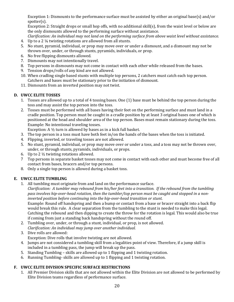Exception 1: Dismounts to the performance surface must be assisted by either an original base(s) and/or spotter(s). 

Exception 2: Straight drops or small hop offs, with no additional skill(s), from the waist level or below are the only dismounts allowed to the performing surface without assistance.

*Clarification: An individual may not land on the performing surface from above waist level without assistance.* 4. Up to a 2  $\frac{1}{4}$  twisting rotations are allowed from all stunts.

- 5. No stunt, pyramid, individual, or prop may move over or under a dismount, and a dismount may not be thrown over, under, or through stunts, pyramids, individuals, or prop.
- 6. No free flipping dismounts allowed.
- 7. Dismounts may not intentionally travel.
- 8. Top persons in dismounts may not come in contact with each other while released from the bases.
- 9. Tension drops/rolls of any kind are not allowed.
- 10. When cradling single based stunts with multiple top persons, 2 catchers must catch each top person. Catchers and bases must be stationary prior to the initiation of dismount.
- 11. Dismounts from an inverted position may not twist.

#### **D. UWCC ELITE TOSSES**

- 1. Tosses are allowed up to a total of 4 tossing bases. One (1) base must be behind the top person during the toss and may assist the top person into the toss.
- 2. Tosses must be performed with all bases having their feet on the performing surface and must land in a cradle position. Top person must be caught in a cradle position by at least 3 original bases one of which is positioned at the head and shoulder area of the top person. Bases must remain stationary during the toss. Example: No intentional traveling tosses.

Exception: A  $\frac{1}{2}$  turn is allowed by bases as in a kick full basket.

- 3. The top person in a toss must have both feet in/on the hands of the bases when the toss is initiated.
- 4. Flipping, inverted, or traveling tosses are not allowed.
- 5. No stunt, pyramid, individual, or prop may move over or under a toss, and a toss may not be thrown over, under, or through stunts, pyramids, individuals, or props.
- 6. Up to 2  $\frac{1}{2}$  twisting rotations allowed.
- 7 Top persons in separate basket tosses may not come in contact with each other and must become free of all contact from bases, bracers and/or top persons.
- 8. Only a single top person is allowed during a basket toss.

#### **E.** UWCC ELITE TUMBLING

1. All tumbling must originate from and land on the performance surface.

*Clarification:* A tumbler may rebound from his/her feet into a transition. If the rebound from the tumbling pass involves hip-over-head rotation, then the tumbler/top person must be caught and stopped in a non*inverted position before continuing into the hip-over-head transition or stunt.* Example: Round off handspring and then a bump or contact from a base or bracer straight into a back flip would break this rule. A clear separation from the tumbling to the stunt is needed to make this legal. Catching the rebound and then dipping to create the throw for the rotation is legal. This would also be true if coming from just a standing back handspring without the round off.

- 2. Tumbling over, under, or through a stunt, individual, or prop, is not allowed. *Clarification: An individual may jump over another individual.*
- 3. Dive rolls are allowed:
	- Exception: Dive rolls that involve twisting are not allowed.
- 4. Jumps are not considered a tumbling skill from a legalities point of view. Therefore, if a jump skill is included in a tumbling pass, the jump will break up the pass.
- 5. Standing Tumbling skills are allowed up to 1 flipping and 1 twisting rotation.
- 6. Running Tumbling- skills are allowed up to 1 flipping and 1 twisting rotation.

#### **F. UWCC ELITE DIVISION SPECIFIC SURFACE RESTRICTIONS**

1. All Premier Division skills that are not allowed within the Elite Division are not allowed to be performed by Elite Division teams regardless of performance surface.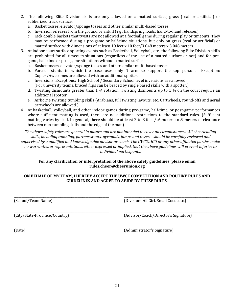- 2. The following Elite Division skills are only allowed on a matted surface, grass (real or artificial) or rubberized track surface:
	- a. Basket tosses, elevator/sponge tosses and other similar multi-based tosses.
	- b. Inversion releases from the ground or a skill  $(e.g.,$  handspring loads, hand-to-hand releases).
	- c. Kick double baskets that twists are not allowed at a football game during regular play or timeouts. They may be performed during a pre-game or half-time situations, but only on grass (real or artificial) or matted surface with dimensions of at least 10 feet x 10 feet/3.048 meters x 3.048 meters.
- 3. At indoor court surface sporting events such as Basketball, Volleyball, etc., the following Elite Division skills are prohibited for all timeouts situations (regardless of the use of a matted surface or not) and for pregame, half-time or post-game situations without a matted surface:
	- a. Basket tosses, elevator/sponge tosses and other similar multi-based tosses.
	- b. Partner stunts in which the base uses only 1 arm to support the top person. Exception: Cupies/Awesomes are allowed with an additional spotter.
	- c. Inversions. Exceptions: High School / Secondary School level inversions are allowed. (For university teams, braced flips can be braced by single based skills with a spotter.)
	- d. Twisting dismounts greater than 1  $\frac{1}{4}$  rotation. Twisting dismounts up to 1  $\frac{1}{4}$  on the court require an additional spotter.
	- e. Airborne twisting tumbling skills (Arabians, full twisting layouts, etc. Cartwheels, round-offs and aerial cartwheels are allowed.)
- 4. At basketball, volleyball, and other indoor games during pre-game, half-time, or post-game performances where sufficient matting is used, there are no additional restrictions to the standard rules. (Sufficient matting varies by skill. In general, there should be at least 2 to 3 feet / .6 meters to .9 meters of clearance between non-tumbling skills and the edge of the mat.)

*The above safety rules are general in nature and are not intended to cover all circumstances. All cheerleading* skills, including tumbling, partner stunts, pyramids, *jumps* and tosses - should be carefully reviewed and supervised by a qualified and knowledgeable advisor or coach. The UWCC, ICU or any other affiliated parties make no warranties or representations, either expressed or implied, that the above guidelines will prevent injuries to *individual participants.*

#### For any clarification or interpretation of the above safety guidelines, please email **rules.cheer@cheerunion.org**

#### ON BEHALF OF MY TEAM, I HEREBY ACCEPT THE UWCC COMPETITION AND ROUTINE RULES AND **GUIDELINES AND AGREE TO ABIDE BY THESE RULES.**

\_\_\_\_\_\_\_\_\_\_\_\_\_\_\_\_\_\_\_\_\_\_\_\_\_\_\_\_\_\_\_\_\_\_\_\_\_\_\_\_\_\_\_\_\_\_\_\_\_\_\_\_\_\_\_\_\_\_\_\_\_ \_\_\_\_\_\_\_\_\_\_\_\_\_\_\_\_\_\_\_\_\_\_\_\_\_\_\_\_\_\_\_\_\_\_\_\_\_\_\_\_\_\_\_\_\_\_\_\_\_\_\_\_\_\_\_\_\_\_\_\_

\_\_\_\_\_\_\_\_\_\_\_\_\_\_\_\_\_\_\_\_\_\_\_\_\_\_\_\_\_\_\_\_\_\_\_\_\_\_\_\_\_\_\_\_\_\_\_\_\_\_\_\_\_\_\_\_\_\_\_\_\_ \_\_\_\_\_\_\_\_\_\_\_\_\_\_\_\_\_\_\_\_\_\_\_\_\_\_\_\_\_\_\_\_\_\_\_\_\_\_\_\_\_\_\_\_\_\_\_\_\_\_\_\_\_\_\_\_\_\_\_\_

\_\_\_\_\_\_\_\_\_\_\_\_\_\_\_\_\_\_\_\_\_\_\_\_\_\_\_\_\_\_\_\_\_\_\_\_\_\_\_\_\_\_\_\_\_\_\_\_\_\_\_\_\_\_\_\_\_\_\_\_\_ \_\_\_\_\_\_\_\_\_\_\_\_\_\_\_\_\_\_\_\_\_\_\_\_\_\_\_\_\_\_\_\_\_\_\_\_\_\_\_\_\_\_\_\_\_\_\_\_\_\_\_\_\_\_\_\_\_\_\_\_

(School/Team Name) (Division- All Girl, Small Coed, etc.)

(City/State-Province/Country) (Advisor/Coach/Director's Signature)

(Date) (Administrator's Signature)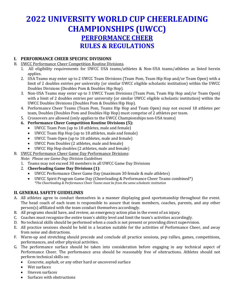# **2022 UNIVERSITY WORLD CUP CHEERLEADING CHAMPIONSHIPS (UWCC) PERFORMANCE CHEER RULES & REGULATIONS**

#### **I. PERFORMANCE CHEER SPECIFIC DIVISIONS**

- B. UWCC Performance Cheer Competition Routine Divisions.
	- 1. All eligibility requirements for UWCC USA teams/athletes & Non-USA teams/athletes as listed herein applies.
	- 2. USA Teams may enter up to 2 UWCC Team Divisions (Team Pom, Team Hip Hop and/or Team Open) with a limit of 2 doubles entries per university (or similar UWCC eligible scholastic institution) within the UWCC Doubles Divisions (Doubles Pom & Doubles Hip Hop).
	- 3. Non-USA Teams may enter up to 3 UWCC Team Divisions (Team Pom, Team Hip Hop and/or Team Open) with a limit of 2 doubles entries per university (or similar UWCC eligible scholastic institution) within the UWCC Doubles Divisions (Doubles Pom & Doubles Hip Hop).
	- 4. Performance Cheer Teams (Team Pom, Teams Hip Hop and Team Open) may not exceed 18 athletes per team, Doubles (Doubles Pom and Doubles Hip Hop) must comprise of 2 athletes per team.
	- 5. Crossovers are allowed (only applies to the UWCC Championships non-USA teams)
	- **6. Performance Cheer Competition Routine Divisions (5):**
		- UWCC Team Pom (up to 18 athletes, male and female)
		- UWCC Team Hip Hop (up to 18 athletes, male and female)
		- UWCC Team Open (up to 18 athletes, male and female)
		- UWCC Pom Doubles (2 athletes, male and female)
		- UWCC Hip Hop doubles (2 athletes, male and female)
- B. UWCC Performance Cheer Game Day Performance Divisions:

*Note: Please see Game Day Division Guidelines*

- 1. Teams may not exceed 30 members in all UWCC Game Day Divisions
- 2. **Cheerleading Game Day Divisions (1):** 
	- UWCC Performance Cheer Game Day (maximum 30 female & male athletes)
	- UWCC Spirit Program Game Day (Cheerleading & Performance Cheer Teams combined\*) *\*The Cheerleading & Performance Cheer Teams must be from the same scholastic institution*

#### **II. GENERAL SAFETY GUIDELINES**

- A. All athletes agree to conduct themselves in a manner displaying good sportsmanship throughout the event. The head coach of each team is responsible to assure that team members, coaches, parents, and any other person(s) affiliated with the team conduct themselves accordingly.
- B. All programs should have, and review, an emergency action plan in the event of an injury.
- C. Coaches must recognize the entire team's ability level and limit the team's activities accordingly.
- D. No technical skills should be performed when a coach is not present or providing direct supervision.
- E. All practice sessions should be held in a location suitable for the activities of Performance Cheer, and away from noise and distractions.
- F. Warm-up and stretching should precede and conclude all practice sessions, pep rallies, games, competitions, performances, and other physical activities.
- G. The performance surface should be taken into consideration before engaging in any technical aspect of Performance Cheer. The performance area should be reasonably free of obstructions. Athletes should not perform technical skills on:
	- Concrete, asphalt, or any other hard or uncovered surface
	- Wet surfaces
	- Uneven surfaces
	- Surfaces with obstructions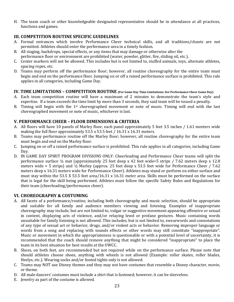H. The team coach or other knowledgeable designated representative should be in attendance at all practices, functions and games.

#### **III. COMPETITION ROUTINE SPECIFIC GUIDELINES**

- A. Formal entrances which involve Performance Cheer technical skills, and all traditions/chants are not permitted. Athletes should enter the performance area in a timely fashion.
- B. All staging, backdrops, special effects, or any items that may damage or otherwise alter the performance floor or environment are prohibited (water, powder, glitter, fire, sliding oil, etc.).
- C. Center markers will not be allowed. This includes but is not limited to, stuffed animals, toys, alternate athletes, spacing ropes, etc.
- D. Teams may perform off the performance floor; however, all routine choreography for the entire team must begin and end on the performance floor. Jumping on or off a raised performance surface is prohibited. This rule applies in all categories, including Game Day.

#### **IV.** TIME LIMITATIONS – COMPETITION ROUTINE (For Game Day Time Limitations: See Performance Cheer Game Day)

- A. Each team competition routine will have a maximum of 2 minutes to demonstrate the team's style and expertise. If a team exceeds the time limit by more than 3 seconds, they said team will be issued a penalty.
- B. Timing will begin with the  $1<sup>st</sup>$  choreographed movement or note of music. Timing will end with the last choreographed movement or note of music, whichever is last.

#### **V. PERFORMANCE CHEER – FLOOR DIMENSIONS & CRITERIA**

- A. All floors will have 10 panels of Marley floor, each panel approximately 5 feet 3.5 inches / 1.61 meeters wide making the full floor approximately  $53.5 \times 53.5$  feet /  $16.31 \times 16.31$  meters.
- B. Teams may performance routine off the Marley floor; however, all routine choreography for the entire team must begin and end on the Marley floor.
- C. Jumping on or off a raised performance surface is prohibited. This rule applies in all categories, including Game Day.
- D. IN GAME DAY SPIRIT PROGRAM DIVISIONS ONLY: Cheerleading and Performance Cheer teams will split the performance surface  $\frac{1}{2}$  mat (approximately 25 feet deep x 42 feet wide=5 strips / 7.62 meters deep x 12.8 meters wide = 5 strips) and  $\frac{1}{2}$  Marley (approx. 25 feet deep x 53.5 feet wide for Performance Cheer / 7.62 meters deep x 16.31 meters wide for Performance Cheer). Athletes may stand or perform on either surface and must stay within the 53.5 X 53.5 feet area/16.31 x 16.31 meter area. Skills must be performed on the surface that is legal for the skill being performed. Athletes must follow the specific Safety Rules and Regulations for their team (cheerleading/performance cheer).

#### **VI. CHOREOGRAPHY & COSTUMING**

- A. All facets of a performance/routine, including both choreography and music selection, should be appropriate and suitable for all family and audience members viewing and listening. Examples of inappropriate choreography may include, but are not limited to, vulgar or suggestive movement appearing offensive or sexual in content, displaying acts of violence, and/or relaying lewd or profane gestures. Music containing words unsuitable for family listening is not allowed. This includes, but is not limited to, swearwords and connotations of any type of sexual act or behavior, drugs, and/or violent acts or behavior. Removing improper language or words from a song and replacing with sounds effects or other words may still constitute "inappropriate". Music or movement in which the appropriateness is questionable or with a potential level of uncertainty, it is recommended that the coach should remove anything that might be considered "inappropriate" to place the team in its best situation for best results at the UWCC.
- B. Shoes, on both feet, are recommended but not required while on the performance surface. Please note that should athletes choose shoes, anything with wheels is not allowed (Example: roller skates, roller blades, Heelys, etc.). Wearing socks and/or footed tights only is not allowed.
- C. Teams may NOT use Disney themes and they may not have costumes that resemble a Disney character, movie, or theme.
- D. All male dancers' costumes must include a shirt that is fastened; however, it can be sleeveless.
- E. Jewelry as part of the costume is allowed.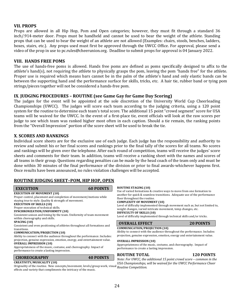#### **VII. PROPS**

Props are allowed in all Hip Hop, Pom and Open categories; however, they must fit through a standard 36 inch/.914-meter door. Props must be handheld and cannot be used to bear the weight of the athlete. Standing props that can be used to bear the weight of an athlete are not allowed (Examples: chairs, stools, benches, ladders, boxes, stairs, etc.). Any props used must first be approved through the UWCC Office. For approval, please send a video of the prop in use to pc.rules@cheerunion.org. Deadline to submit props for approval is 04 January 2022.

#### **VIII. HANDS FREE POMS**

The use of hands-free poms is allowed. Hands free poms are defined as poms specifically designed to affix to the athlete's hand(s), not requiring the athlete to physically grasps the pom, leaving the pom "hands free" for the athlete. Proper use is required which means bars cannot be in the palm of the athlete's hand and only elastic bands can be between the supporting hand and the performance surface for skills, tricks, etc. A hair tie, rubber band or tying pom strings/pieces together will not be considered a hands-free pom.

#### **IX**. **JUDGING PROCEDURES – ROUTINE (see Game Gay for Game Day Scoring)**

The judges for the event will be appointed at the sole discretion of the University World Cup Cheerleading Championships (UWCC). The judges will score each team according to the judging criteria, using a 120 point system for the routine to determine each team's total score. The additional 15 point "crowd segment" score for USA teams will be waived for the UWCC. In the event of a first-place tie, event officials will look at the raw scores per judge to see which team was ranked higher most often in each caption. Should a tie remain, the ranking points from the "Overall Impression" portion of the score sheet will be used to break the tie.

#### **X**. **SCORES AND RANKINGS**

Individual score sheets are for the exclusive use of each judge. Each judge has the responsibility and authority to review and submit his or her final scores and rankings prior to the final tally of the scores for all teams. No scores and rankings will be given over the telephone. After each round of competition, teams will receive the judges' score sheets and comments for their team. In addition, teams will receive a ranking sheet with the names and scores of all teams in their group. Questions regarding penalties can be made by the head coach of the team only and must be done within 30 minutes of the final performance of the division or prior to final awards-whichever happens first. Once results have been announced, no rules violation challenges will be accepted.

#### **ROUTINE IUDGING SHEET-POM, HIP HOP, OPEN**

#### **EXECUTION 60 POINTS**

**EXECUTION OF MOVEMENT (10)** 

Proper control, placement and completion of movement/motions while staying true to style. Quality & strength of movement.

#### **EXECUTION OF SKILLS (10)**

Proper execution of technical skills.

#### **SYNCHRONIZATION/UNIFORMITY (10)**

Consistent unison and timing by the team. Uniformity of team movement within choreography and skills.

#### **SPACING** (10)

Consistent and even positioning of athletes throughout all formations and transitions.

#### **COMMUNICATION/PROJECTION (10)**

Ability to connect with the audience throughout the performance. Includes: projection, genuine expression, emotion, energy, and entertainment value. **OVERALL IMPRESSION (10)**

Appropriateness of the music, costume, and choreography. Impact of performance to create a lasting impression.

#### **CHOREOGRAPHY 40 POINTS**

#### **CREATIVITY/MUSICALITY (10)**

Originality of the routine. New concepts/movement, levels/group work, visual *Routine Competition.* effects and variety that compliments the intricacy of the music.

#### **ROUTINE STAGING (10)**

Use of varied formations & creative ways to move from one formation to another for quick & seamless transitions. Adequate use of the performance floor throughout the routine.

#### **COMPLEXITY OF MOVEMENT (10)**

Level of difficulty implemented through movement such as, but not limited to, weight changes, varied intricate movement, temp changes, etc. **DIFFICULTY OF SKILLS (10)**

Level of difficulty implemented through technical skills and/or tricks.

#### **OVERALL EFFECT** 20 POINTS

#### **COMMUNICATION/PROJECTION (10)**

Ability to connect with the audience throughout the performance. Includes: projection, genuine expression, emotion, energy and entertainment value.

#### **OVERALL IMPRESSION (10)**

Appropriateness of the music, costume, and choreography. Impact of performance to create a lasting impression.

#### **ROUTINE TOTAL 120 POINTS**

*Note: For UWCC, the additional 15 point crowd score – common in the* USA Championships, will be waived for the UWCC Performance Cheer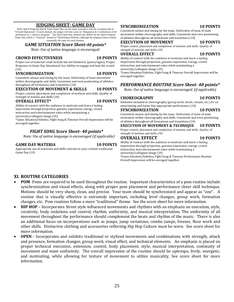#### **JUDGING SHEET- GAME DAY**

Note: Spirit Program Day & Team Game Day are the same scoresheet with the exception that in "Overall Impression" of each element, the judges will also score on "Integration & Coordination of all performers as 1 cohesive program." The final Game Day element also differs for the Spirit Program Game Day which is "Timeout" instead of "Performance Routine, although the judging criteria remain essentially the same for each element.

#### GAME SITUATION Score Sheet-40 points\*

*Note: Use of native language is encouraged.* 

#### **CROWD EFFECTIVENESS 10 POINTS**

Proper use of material could include but not limited to (poms/signs), Proper Response to Game Day Situational Cue. Ability to engage and lead the crowd (10)

#### **SYNCHRONIZATION 10 POINTS**

Consistent unison and timing by the team. Uniformity of team movement

#### within choreography and skills. Consistent and even positioning of athletes throughout all formations and transitions  $(10)$

#### **EXECUTION OF MOVEMENT & SKILLS 10 POINTS**

Proper control, placement and completion of motions and skills. Quality of strength of motion and skills (10)

#### **OVERALL EFFECT\*** 10 POINTS

Ability of connect with the audience to motivate and leave a lasting impression through projection, genuine expression, energy, crowd interaction and entertainment value while maintaining a

university/collegiate image (10)

\*Game Situation/Sideline, Fight Song & Timeout Overall Impression will be averaged together.

#### *FIGHT SONG Score Sheet- 40 points\**

*Note: Use of native language is encouraged (if applicable)* 

#### GAME DAY MATERIA **10 POINTS**

Appropriate use of materials and skills relevant to your schools traditional Game Day (10)

#### **SYNCHRONIZATION 10 POINTS**

Consistent unison and timing by the team. Uniformity of team of team movement within choreography and skills. Consistent and even positioning of athletes throughout all formations and transitions (10)

#### **EXECUTION OF MOVEMENT 10 POINTS**

Proper control, placement and completion of motions and skills. Quality of strength of motions and skills (10)

#### **OVERALL EFFECT 10 POINTS**

Ability of connect with the audience to motivate and leave a lasting impression through projection, genuine expression, energy, crowd interaction and entertainment value while maintaining a university/collegiate image (10)

\*Game Situation/Sideline, Fight Song & Timeout Overall Impression will be averaged together.

#### *PERFORMANCE ROUTINE Score Sheet- 40 points\**

*Note: Use of native language is encouraged. (if applicable)* 

#### CHOREOGRAPHY 10 POINTS

Elements included in choreography (group work, levels, visuals, etc.) for an entertaining and Game Day appropriate performance (10)

#### **SYNCHRONIZATION 10 POINTS**

Consistent unison and timing by the team. Uniformity of team of team movement within choreography and skills. Consistent and even positioning of athletes throughout all formations and transitions (10)

#### **EXECUTION OF MOVEMENT & TECHNIQUE 10 POINTS** Proper control, placement and completion of motions and skills. Quality of

strength of motions and skills (10)

#### **OVERALL EFFECT** 10 POINTS

Ability of connect with the audience to motivate and leave a lasting impression through projection, genuine expression, energy, crowd interaction and entertainment value while maintaining a university/collegiate image (10) \*Game Situation/Sideline, Fight Song & Timeout Performance Routine Overall Impression will be averaged together.

#### **XI. ROUTINE CATEGORIES**

- **POM** Poms are required to be used throughout the routine. Important characteristics of a pom routine include synchronization and visual effects, along with proper pom placement and performance cheer skill technique. Motions should be very sharp, clean, and precise. Your team should be synchronized and appear as "one". A routine that is visually effective is extremely important, including level changes, group work, formation changes, etc. Pom routines follow a more "traditional" theme. See the score sheet for more information.
- **HIP HOP** Incorporates Street style influenced movements and rhythms with an emphasis on execution, style, creativity, body isolations and control, rhythm, uniformity, and musical interpretation. The uniformity of all movement throughout the performance should complement the beats and rhythm of the music. There is also an additional focus on incorporations such as jumps, jump variations, combo jumps, freezes, floor work and other skills. Distinctive clothing and accessories reflecting Hip Hop Culture must be worn. See score sheet for more information.
- **OPEN** Incorporates and exhibits traditional or stylized movements and combinations with strength, attack and presence, formation changes, group work, visual effect, and technical elements. An emphasis is placed on proper technical execution, extension, control, body placement, style, musical interpretation, continuity of movement and team uniformity. The overall impression of the routine should be uptempo, lively, energetic, and motivating, while allowing for texture of movement to utilize musicality. See score sheet for more information.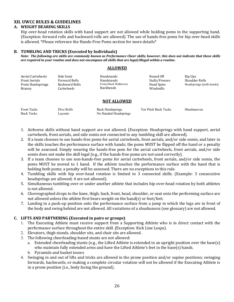#### **XII. UWCC RULES & GUIDELINES**

#### **A. WEIGHT BEARING SKILLS**

Hip over-head rotation skills with hand support are not allowed while holding poms in the supporting hand. (Exception: forward rolls and backward rolls are allowed). The use of hands-free poms for hip over-head skills is allowed. \*Please reference the Hands-Free Poms section for more details\*

#### **B. TUMBLING AND TRICKS (Executed by Individuals)**

*Note:* The following are skills are commonly known as Performance Cheer skills; however, this does not indicate that these skills *are required in your routine and does not encompass all skills that are legal/illegal within a routine.* 

#### **ALLOWED**

| Aerial Cartwheels<br>Front Aerials<br><b>Front Handsprings</b><br>Branny | Side Somi<br><b>Forward Rolls</b><br>Backward Rolls<br>Cartwheels | Headstands<br>Handstands<br>Front/Back Walkovers<br>Backbends | Round Off<br>Stalls/Freezes<br>Head Spins<br>Windmills | Kip Ups<br>Shoulder Rolls<br>Headsprings (with hands) |
|--------------------------------------------------------------------------|-------------------------------------------------------------------|---------------------------------------------------------------|--------------------------------------------------------|-------------------------------------------------------|
|--------------------------------------------------------------------------|-------------------------------------------------------------------|---------------------------------------------------------------|--------------------------------------------------------|-------------------------------------------------------|

#### **NOT ALLOWED**

| <b>Front Tucks</b> | Dive Rolls | <b>Back Handsprings</b> | Toe Pitch Back Tucks | Shushunovas |
|--------------------|------------|-------------------------|----------------------|-------------|
| <b>Back Tucks</b>  | Layouts    | No Handed Headsprings   |                      |             |

- 1. Airborne skills without hand support are not allowed. (Exception: Headsprings with hand support, aerial cartwheels, front aerials, and side somis not connected to any tumbling skill are allowed).
- 2. If a team chooses to use hands-free poms for aerial cartwheels, front aerials, and/or side somis, and later in the skills touches the performance surface with hands; the poms MUST be flipped off the hand or a penalty will be assessed. Simply wearing the hands-free pom for the aerial cartwheels, front aerials, and/or side somis does not make the skill legal (e.g., if the hands-free poms are not used correctly).
- 3. If a team chooses to use non-hands-free poms for aerial cartwheels, front aerials, and/or side somis, the poms MUST be moved to 1 hand. If the athlete touches the performance surface with the hand that is holding both poms; a penalty will be assessed. There are no exceptions to this rule.
- 4. Tumbling skills with hip over-head rotation is limited to 3 connected skills. (Example: 3 consecutive headsprings are allowed; 4 are not allowed).
- 5. Simultaneous tumbling over or under another athlete that includes hip over-head rotation by both athletes is not allowed.
- 6. Choreographed drops to the knee, thigh, back, front, head, shoulder, or seat onto the performing surface are not allowed unless the athlete first bears weight on the hand(s) or foot/feet.
- 7. Landing in a push-up position onto the performance surface from a jump in which the legs are in front of the body and swing behind are not allowed. All variations of a shushunova (see glossary) are not allowed.

#### **C. LIFTS AND PARTNERING (Executed in pairs or groups)**

- 1. The Executing Athlete must receive support from a Supporting Athlete who is in direct contact with the performance surface throughout the entire skill. (Exception: Kick Line Leaps).
- 2. Elevators, thigh stands, shoulder sits, and chair sits are allowed.
- 3. The following cheerleading-based stunts are not allowed:
	- a. Extended cheerleading stunts (e.g., the Lifted Athlete is extended in an upright position over the base(s) who maintain fully extended arms and have the Lifted Athlete's feet in the base(s) hands.
	- b. Pyramids and basket tosses
- 4. Swinging in and out of lifts and tricks are allowed in the prone position and/or supine positions; swinging forwards, backwards, or making a complete circular rotation will not be allowed if the Executing Athlete is in a prone position (i.e., body facing the ground).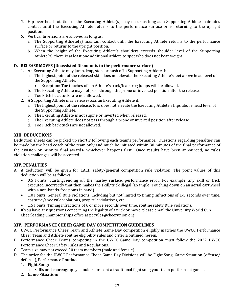- 5. Hip over-head rotation of the Executing Athlete(s) may occur as long as a Supporting Athlete maintains contact until the Executing Athlete returns to the performance surface or is returning to the upright position.
- 6. Vertical Inversions are allowed as long as:
	- a. The Supporting Athlete(s) maintain contact until the Executing Athlete returns to the performance surface or returns to the upright position.
	- b. When the height of the Executing Athlete's shoulders exceeds shoulder level of the Supporting Athlete $(s)$ , there is at least one additional athlete to spot who does not bear weight.

#### **D.** RELEASE MOVES (Unassisted Dismounts to the performance surface)

- 1. An Executing Athlete may jump, leap, step, or push off a Supporting Athlete if:
	- a. The highest point of the released skill does not elevate the Executing Athlete's feet above head level of the Supporting Athlete.
		- Exception: Toe touches off an Athlete's back/leap frog jumps will be allowed.
	- b. The Executing Athlete may not pass through the prone or inverted position after the release.
	- c. Toe Pitch back tucks are not allowed.
- 2. A Supporting Athlete may release/toss an Executing Athlete if:
	- a. The highest point of the release/toss does not elevate the Executing Athlete's hips above head level of the Supporting Athlete.
	- b. The Executing Athlete is not supine or inverted when released.
	- c. The Executing Athlete does not pass through a prone or inverted position after release.
	- d. Toe Pitch back tucks are not allowed.

#### **XIII. DEDUCTIONS**

Deduction sheets can be picked up shortly following each team's performance. Questions regarding penalties can be made by the head coach of the team only and much be initiated within 30 minutes of the final performance of the division or prior to final awards- whichever happens first. Once results have been announced, no rules violation challenges will be accepted

#### **XIV**. **PENALTIES**

- A. A deduction will be given for EACH safety/general competition rule violation. The point values of this deduction will be as follows:
	- 0.5 Points: Starting/ending off the marley surface, performance error. For example, any skill or trick executed incorrectly that then makes the skill/trick illegal (Example: Touching down on an aerial cartwheel with a non-hands-free poms in hand)
	- 1.0 Points: General Rule violations; including but not limited to timing infractions of 1-5 seconds over time, costume/shoe rule violations, prop rule violations, etc.
	- 1.5 Points: Timing infractions of 6 or more seconds over time, routine safety Rule violations.
- B. If you have any questions concerning the legality of a trick or move, please email the University World Cup Cheerleading Championships office at pc.rules@cheerunion.org.

#### **XIV. PERFORMANCE CHEER GAME DAY COMPETITION GUIDELINES**

- A. UWCC Performance Cheer Team and Athlete Game Day competition eligibly matches the UWCC Performance Cheer Team and Athlete routine eligibility rules and criteria outlined herein.
- B. Performance Cheer Teams competing in the UWCC Game Day competition must follow the 2022 UWCC Performance Cheer Safety Rules and Regulations.
- C. Team size may not exceed 30 team members (male and female).
- D. The order for the UWCC Performance Cheer Game Day Divisions will be Fight Song, Game Situation (offense/ defense), Performance Routine.
	- 1. **Fight Song:**
	- a. Skills and choreography should represent a traditional fight song your team performs at games.
	- 2. **Game Situation:**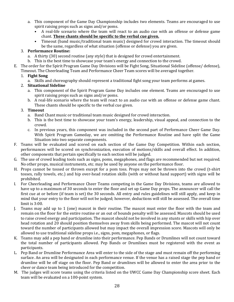- a. This component of the Game Day Championship includes two elements. Teams are encouraged to use spirit raising props such as signs and/or poms.
	- A real-life scenario where the team will react to an audio cue with an offense or defense game chant. **These chants should be specific to the verbal cue given.**
	- Timeout (band music/traditional team music) designed for crowd interaction. The timeout should be the same, regardless of what situation (offense or defense) you are given.

#### 3. **Performance Routine:**

- a. A thirty (30) second routine (any style) that is designed for crowd entertainment.
- b. This is the best time to showcase your team's energy and connection to the crowd.
- E. The order for the Spirit Program Game Day Divisions will be Fight Song, Situational Sideline (offense/ defense), Timeout. The Cheerleading Team and Performance Cheer Team scores will be averaged together.

#### 1. **Fight Song**

a. Skills and choreography should represent a traditional fight song your team performs at games.

#### 2. **Situational Sideline**

- a. This component of the Spirit Program Game Day includes one element. Teams are encouraged to use spirit raising props such as signs and/or poms.
- b. A real-life scenario where the team will react to an audio cue with an offense or defense game chant. These chants should be specific to the verbal cue given.

#### 3. **Timeout**

- a. Band Chant music or traditional team music designed for crowd interaction.
- b. This is the best time to showcase your team's energy, leadership, visual appeal, and connection to the crowd.
- c. In previous years, this component was included in the second part of Performance Cheer Game Day. With Spirit Program Gameday, we are omitting the Performance Routine and have split the Game Situation into two separate components.
- F. Teams will be evaluated and scored on each section of the Game Day Competition. Within each section, performances will be scored on synchronization, execution of motions/skills and overall effect. In addition, other components that pertain specifically to each section will be judged.
- G. The use of crowd leading tools such as signs, poms, megaphones, and flags are recommended but not required. No other props, musical instruments, etc. may be used by anyone on the performance floor.
- H. Props cannot be tossed or thrown except for a pom toss. Props may not be thrown into the crowd (t-shirt tosses, rally towels, etc.) and hip over-head rotation skills (with or without hand support) with signs will be prohibited.
- I. For Cheerleading and Performance Cheer Teams competing in the Game Day Divisions, teams are allowed to have up to a maximum of 30 seconds to enter the floor and set up Game Day props. The announcer will call the first cue at or before (if team is set) the 30 seconds. All entry and rules guidelines will still apply, and keep in mind that your entry to the floor will not be judged; however, deductions will still be assessed. The overall time limit is  $3:00$ .
- J. Teams may add up to 1 (one) mascot in their routine. The mascot must enter the floor with the team and remain on the floor for the entire routine or an out of bounds penalty will be assessed. Mascots should be used to raise crowd energy and participation. The mascot should not be involved in any stunts or skills with hip over head rotation and 20 should position themselves away from skills being performed. The mascot will not count toward the number of participants allowed but may impact the overall impression score. Mascots will only be allowed to use traditional sideline props *i.e.*, signs, pom, megaphones, or flags.
- K. Teams may add a pep band or drumline into their performance. Pep Bands or Drumlines will not count toward the total number of participants allowed. Pep Bands or Drumlines must be registered with the event as participants.
- L. Pep Band or Drumline Performance Area will enter to the side of the stage and must remain off the performing surface. An area will be designated in each performance venue. If the venue has a raised stage the pep band or drumline will be off stage on the floor. Pep Band or drumlines will be allowed to enter the area prior to the cheer or dance team being introduced for the competition.
- M. The judges will score teams using the criteria listed on the UWCC Game Day Championship score sheet. Each team will be evaluated on a 100-point system.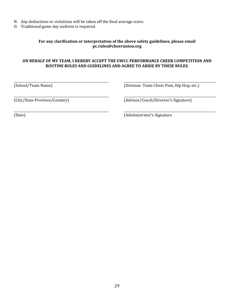- N. Any deductions or violations will be taken off the final average score.
- O. Traditional game day uniform is required.

#### For any clarification or interpretation of the above safety guidelines, please email **pc.rules@cheerunion.org**

#### ON BEHALF OF MY TEAM, I HEREBY ACCEPT THE UWCC PERFORMANCE CHEER COMPETITION AND **ROUTINE RULES AND GUIDELINES AND AGREE TO ABIDE BY THESE RULES.**

\_\_\_\_\_\_\_\_\_\_\_\_\_\_\_\_\_\_\_\_\_\_\_\_\_\_\_\_\_\_\_\_\_\_\_\_\_\_\_\_\_\_\_\_\_\_\_\_\_\_\_\_\_\_\_\_\_\_\_\_\_ \_\_\_\_\_\_\_\_\_\_\_\_\_\_\_\_\_\_\_\_\_\_\_\_\_\_\_\_\_\_\_\_\_\_\_\_\_\_\_\_\_\_\_\_\_\_\_\_\_\_\_\_\_\_\_\_\_\_\_

\_\_\_\_\_\_\_\_\_\_\_\_\_\_\_\_\_\_\_\_\_\_\_\_\_\_\_\_\_\_\_\_\_\_\_\_\_\_\_\_\_\_\_\_\_\_\_\_\_\_\_\_\_\_\_\_\_\_\_\_\_ \_\_\_\_\_\_\_\_\_\_\_\_\_\_\_\_\_\_\_\_\_\_\_\_\_\_\_\_\_\_\_\_\_\_\_\_\_\_\_\_\_\_\_\_\_\_\_\_\_\_\_\_\_\_\_\_\_\_\_

\_\_\_\_\_\_\_\_\_\_\_\_\_\_\_\_\_\_\_\_\_\_\_\_\_\_\_\_\_\_\_\_\_\_\_\_\_\_\_\_\_\_\_\_\_\_\_\_\_\_\_\_\_\_\_\_\_\_\_\_\_ \_\_\_\_\_\_\_\_\_\_\_\_\_\_\_\_\_\_\_\_\_\_\_\_\_\_\_\_\_\_\_\_\_\_\_\_\_\_\_\_\_\_\_\_\_\_\_\_\_\_\_\_\_\_\_\_\_\_\_

(School/Team Name) (Division- Team Cheer Pom, Hip Hop, etc.)

(City/State-Province/Country) (Advisor/Coach/Director's Signature)

(Date) (Date) (Date of the Contract of the Contract of the Contract of the Contract of the Contract of the Contract of the Contract of the Contract of the Contract of the Contract of the Contract of the Contract of the Con